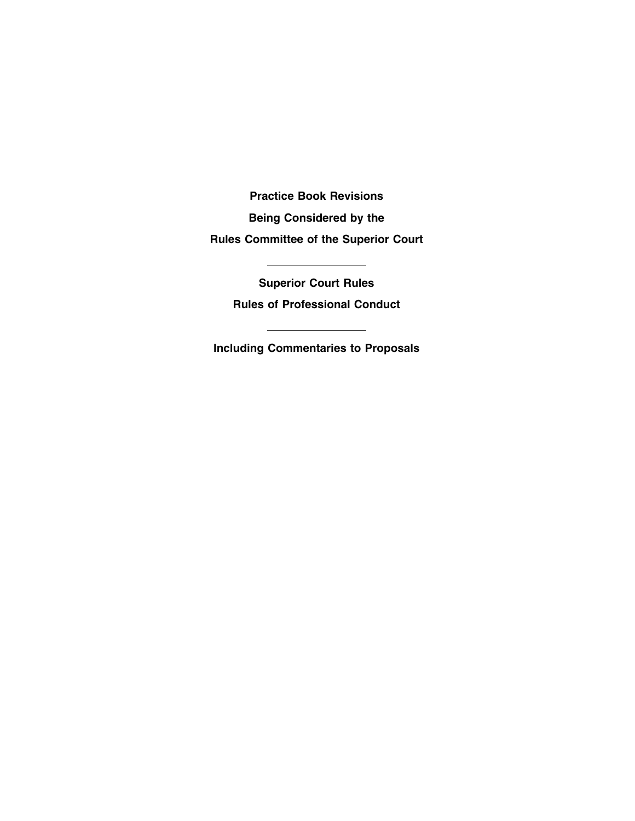**Practice Book Revisions Being Considered by the Rules Committee of the Superior Court**

> **Superior Court Rules Rules of Professional Conduct**

**Including Commentaries to Proposals**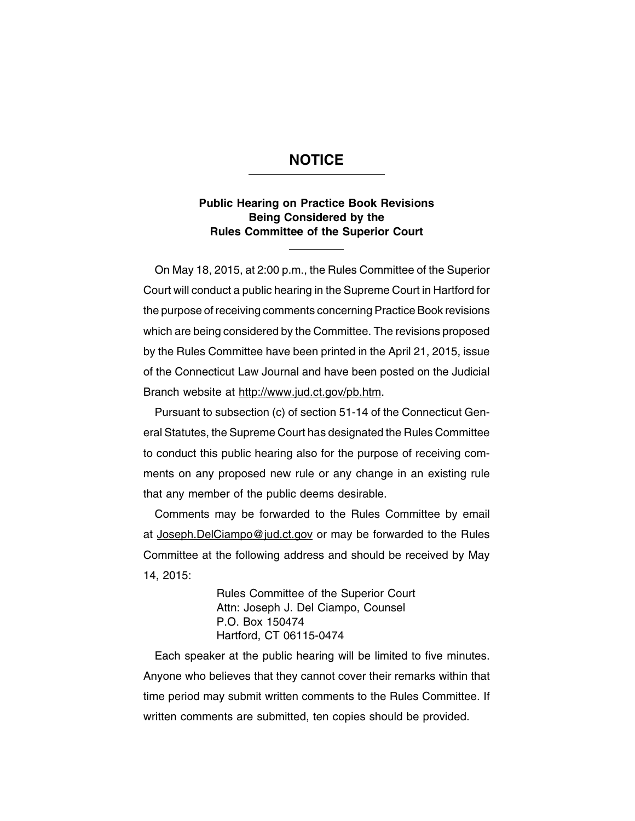### **NOTICE**

### **Public Hearing on Practice Book Revisions Being Considered by the Rules Committee of the Superior Court**

On May 18, 2015, at 2:00 p.m., the Rules Committee of the Superior Court will conduct a public hearing in the Supreme Court in Hartford for the purpose of receiving comments concerning Practice Book revisions which are being considered by the Committee. The revisions proposed by the Rules Committee have been printed in the April 21, 2015, issue of the Connecticut Law Journal and have been posted on the Judicial Branch website at http://www.jud.ct.gov/pb.htm.

Pursuant to subsection (c) of section 51-14 of the Connecticut General Statutes, the Supreme Court has designated the Rules Committee to conduct this public hearing also for the purpose of receiving comments on any proposed new rule or any change in an existing rule that any member of the public deems desirable.

Comments may be forwarded to the Rules Committee by email at Joseph.DelCiampo@jud.ct.gov or may be forwarded to the Rules Committee at the following address and should be received by May 14, 2015:

> Rules Committee of the Superior Court Attn: Joseph J. Del Ciampo, Counsel P.O. Box 150474 Hartford, CT 06115-0474

Each speaker at the public hearing will be limited to five minutes. Anyone who believes that they cannot cover their remarks within that time period may submit written comments to the Rules Committee. If written comments are submitted, ten copies should be provided.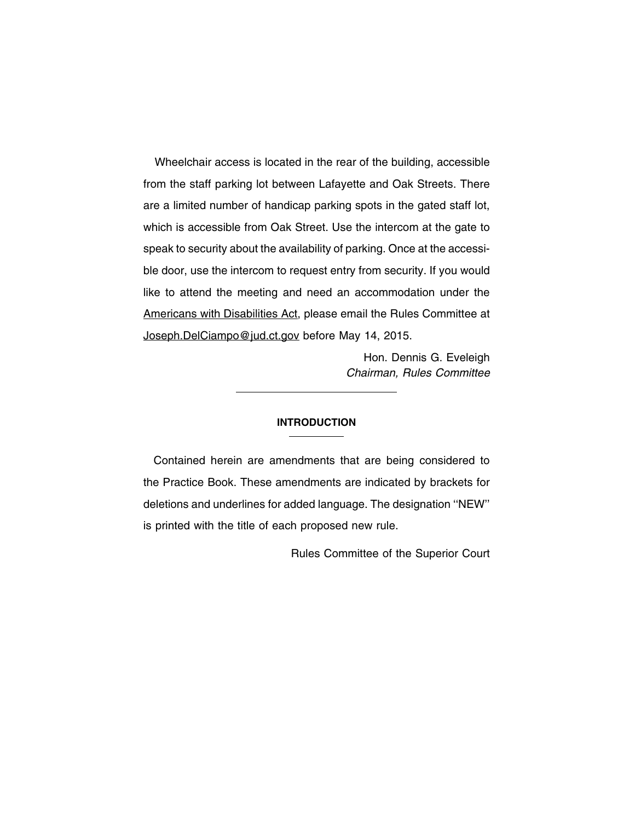Wheelchair access is located in the rear of the building, accessible from the staff parking lot between Lafayette and Oak Streets. There are a limited number of handicap parking spots in the gated staff lot, which is accessible from Oak Street. Use the intercom at the gate to speak to security about the availability of parking. Once at the accessible door, use the intercom to request entry from security. If you would like to attend the meeting and need an accommodation under the Americans with Disabilities Act, please email the Rules Committee at Joseph.DelCiampo@jud.ct.gov before May 14, 2015.

> Hon. Dennis G. Eveleigh Chairman, Rules Committee

#### **INTRODUCTION**

Contained herein are amendments that are being considered to the Practice Book. These amendments are indicated by brackets for deletions and underlines for added language. The designation ''NEW'' is printed with the title of each proposed new rule.

Rules Committee of the Superior Court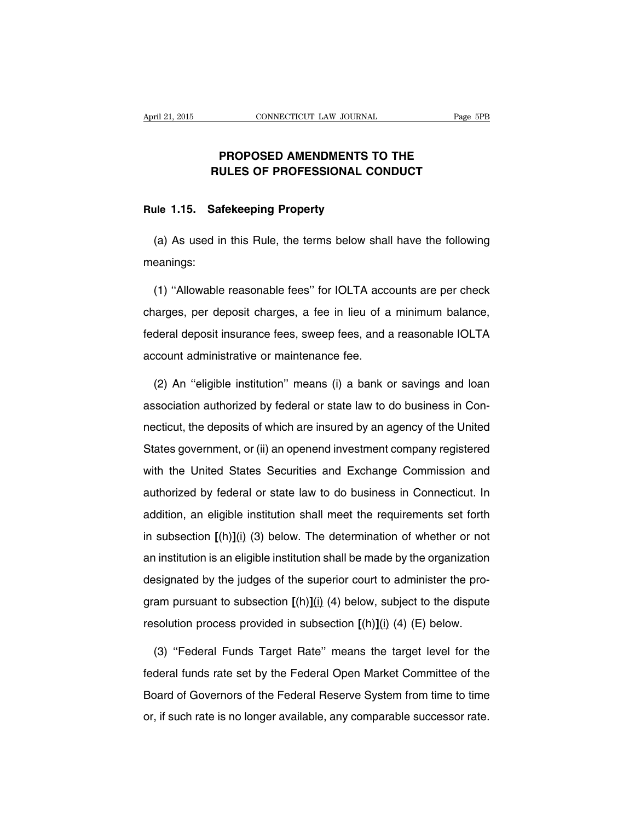### **PROPOSED AMENDMENTS TO THE RULES OF PROFESSIONAL CONDUCT**

#### **Rule 1.15. Safekeeping Property**

(a) As used in this Rule, the terms below shall have the following meanings:

(1) ''Allowable reasonable fees'' for IOLTA accounts are per check charges, per deposit charges, a fee in lieu of a minimum balance, federal deposit insurance fees, sweep fees, and a reasonable IOLTA account administrative or maintenance fee.

(2) An ''eligible institution'' means (i) a bank or savings and loan association authorized by federal or state law to do business in Connecticut, the deposits of which are insured by an agency of the United States government, or (ii) an openend investment company registered with the United States Securities and Exchange Commission and authorized by federal or state law to do business in Connecticut. In addition, an eligible institution shall meet the requirements set forth in subsection **[**(h)**]**(i) (3) below. The determination of whether or not an institution is an eligible institution shall be made by the organization designated by the judges of the superior court to administer the program pursuant to subsection **[**(h)**]**(i) (4) below, subject to the dispute resolution process provided in subsection **[**(h)**]**(i) (4) (E) below.

(3) ''Federal Funds Target Rate'' means the target level for the federal funds rate set by the Federal Open Market Committee of the Board of Governors of the Federal Reserve System from time to time or, if such rate is no longer available, any comparable successor rate.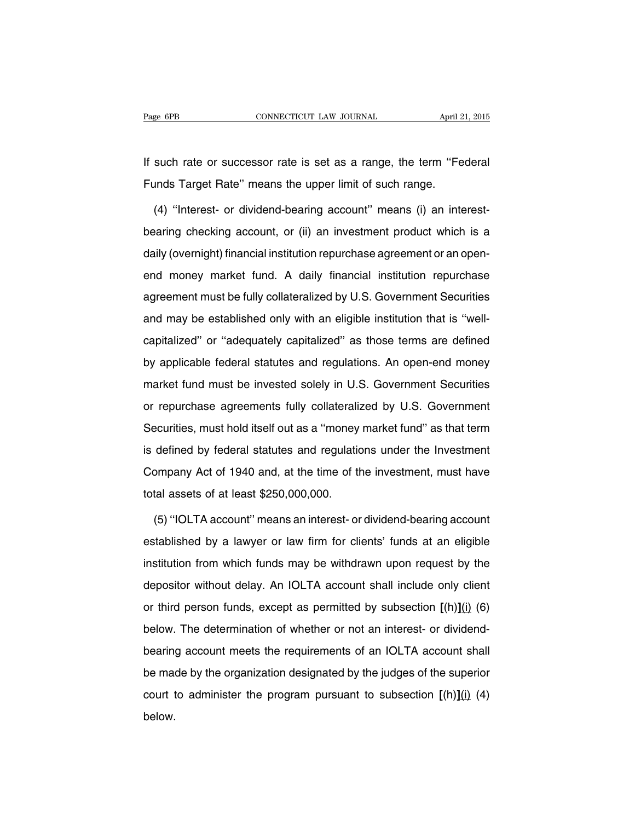If such rate or successor rate is set as a range, the term ''Federal Funds Target Rate'' means the upper limit of such range.

(4) ''Interest- or dividend-bearing account'' means (i) an interestbearing checking account, or (ii) an investment product which is a daily (overnight) financial institution repurchase agreement or an openend money market fund. A daily financial institution repurchase agreement must be fully collateralized by U.S. Government Securities and may be established only with an eligible institution that is ''wellcapitalized'' or ''adequately capitalized'' as those terms are defined by applicable federal statutes and regulations. An open-end money market fund must be invested solely in U.S. Government Securities or repurchase agreements fully collateralized by U.S. Government Securities, must hold itself out as a ''money market fund'' as that term is defined by federal statutes and regulations under the Investment Company Act of 1940 and, at the time of the investment, must have total assets of at least \$250,000,000.

(5) ''IOLTA account'' means an interest- or dividend-bearing account established by a lawyer or law firm for clients' funds at an eligible institution from which funds may be withdrawn upon request by the depositor without delay. An IOLTA account shall include only client or third person funds, except as permitted by subsection **[**(h)**]**(i) (6) below. The determination of whether or not an interest- or dividendbearing account meets the requirements of an IOLTA account shall be made by the organization designated by the judges of the superior court to administer the program pursuant to subsection **[**(h)**]**(i) (4) below.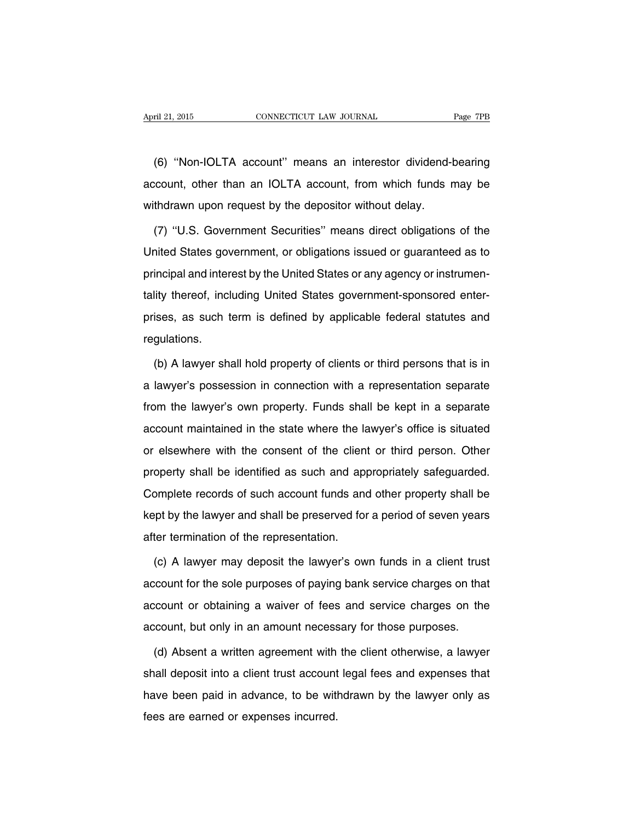(6) ''Non-IOLTA account'' means an interestor dividend-bearing account, other than an IOLTA account, from which funds may be withdrawn upon request by the depositor without delay.

(7) ''U.S. Government Securities'' means direct obligations of the United States government, or obligations issued or guaranteed as to principal and interest by the United States or any agency or instrumentality thereof, including United States government-sponsored enterprises, as such term is defined by applicable federal statutes and regulations.

(b) A lawyer shall hold property of clients or third persons that is in a lawyer's possession in connection with a representation separate from the lawyer's own property. Funds shall be kept in a separate account maintained in the state where the lawyer's office is situated or elsewhere with the consent of the client or third person. Other property shall be identified as such and appropriately safeguarded. Complete records of such account funds and other property shall be kept by the lawyer and shall be preserved for a period of seven years after termination of the representation.

(c) A lawyer may deposit the lawyer's own funds in a client trust account for the sole purposes of paying bank service charges on that account or obtaining a waiver of fees and service charges on the account, but only in an amount necessary for those purposes.

(d) Absent a written agreement with the client otherwise, a lawyer shall deposit into a client trust account legal fees and expenses that have been paid in advance, to be withdrawn by the lawyer only as fees are earned or expenses incurred.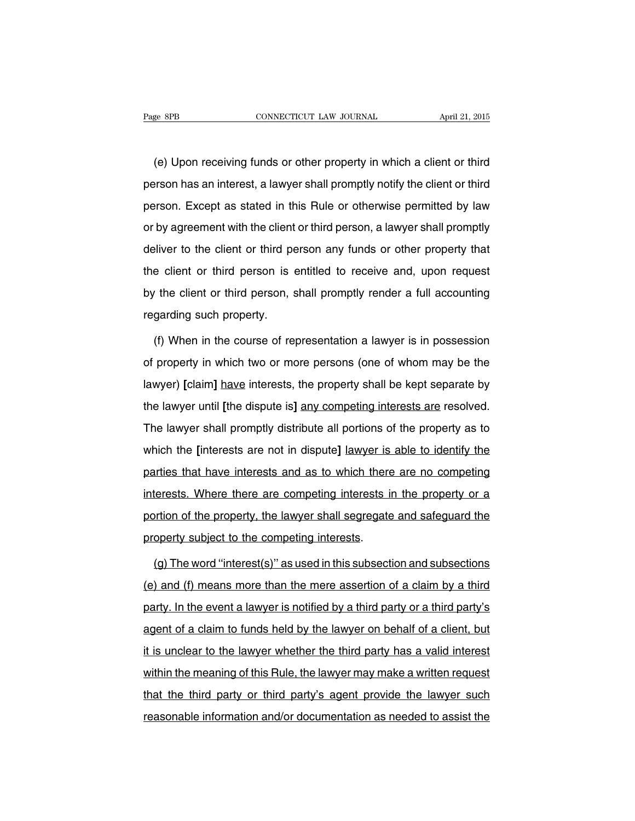(e) Upon receiving funds or other property in which a client or third person has an interest, a lawyer shall promptly notify the client or third person. Except as stated in this Rule or otherwise permitted by law or by agreement with the client or third person, a lawyer shall promptly deliver to the client or third person any funds or other property that the client or third person is entitled to receive and, upon request by the client or third person, shall promptly render a full accounting regarding such property.

(f) When in the course of representation a lawyer is in possession of property in which two or more persons (one of whom may be the lawyer) **[**claim**]** have interests, the property shall be kept separate by the lawyer until **[**the dispute is**]** any competing interests are resolved. The lawyer shall promptly distribute all portions of the property as to which the **[**interests are not in dispute**]** lawyer is able to identify the parties that have interests and as to which there are no competing interests. Where there are competing interests in the property or a portion of the property, the lawyer shall segregate and safeguard the property subject to the competing interests.

(g) The word ''interest(s)'' as used in this subsection and subsections (e) and (f) means more than the mere assertion of a claim by a third party. In the event a lawyer is notified by a third party or a third party's agent of a claim to funds held by the lawyer on behalf of a client, but it is unclear to the lawyer whether the third party has a valid interest within the meaning of this Rule, the lawyer may make a written request that the third party or third party's agent provide the lawyer such reasonable information and/or documentation as needed to assist the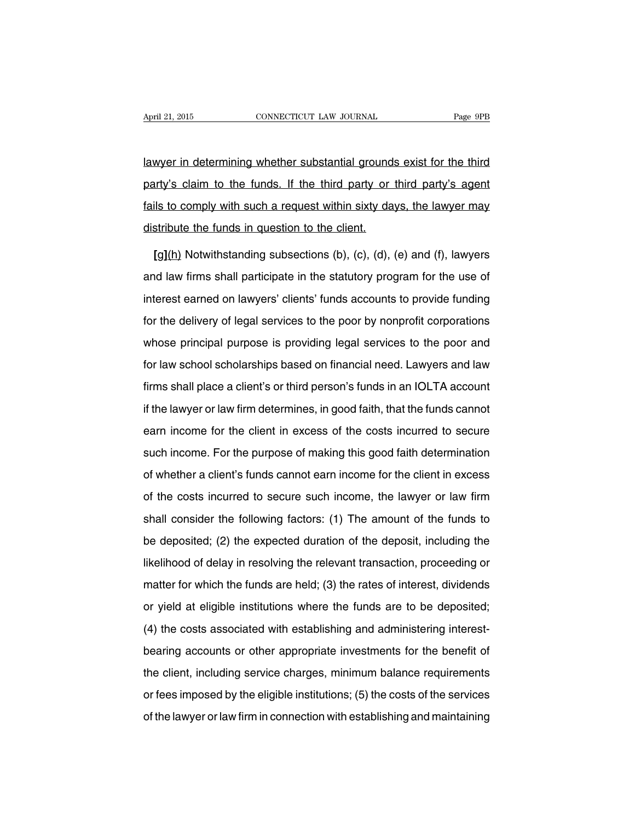lawyer in determining whether substantial grounds exist for the third party's claim to the funds. If the third party or third party's agent fails to comply with such a request within sixty days, the lawyer may distribute the funds in question to the client.

**[**g**]**(h) Notwithstanding subsections (b), (c), (d), (e) and (f), lawyers and law firms shall participate in the statutory program for the use of interest earned on lawyers' clients' funds accounts to provide funding for the delivery of legal services to the poor by nonprofit corporations whose principal purpose is providing legal services to the poor and for law school scholarships based on financial need. Lawyers and law firms shall place a client's or third person's funds in an IOLTA account if the lawyer or law firm determines, in good faith, that the funds cannot earn income for the client in excess of the costs incurred to secure such income. For the purpose of making this good faith determination of whether a client's funds cannot earn income for the client in excess of the costs incurred to secure such income, the lawyer or law firm shall consider the following factors: (1) The amount of the funds to be deposited; (2) the expected duration of the deposit, including the likelihood of delay in resolving the relevant transaction, proceeding or matter for which the funds are held; (3) the rates of interest, dividends or yield at eligible institutions where the funds are to be deposited; (4) the costs associated with establishing and administering interestbearing accounts or other appropriate investments for the benefit of the client, including service charges, minimum balance requirements or fees imposed by the eligible institutions; (5) the costs of the services of the lawyer or law firm in connection with establishing and maintaining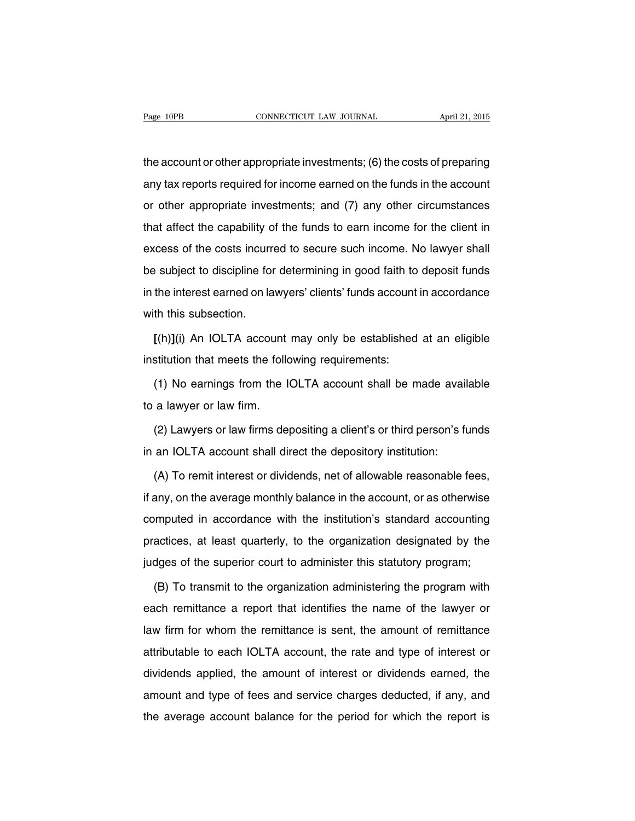the account or other appropriate investments; (6) the costs of preparing any tax reports required for income earned on the funds in the account or other appropriate investments; and (7) any other circumstances that affect the capability of the funds to earn income for the client in excess of the costs incurred to secure such income. No lawyer shall be subject to discipline for determining in good faith to deposit funds in the interest earned on lawyers' clients' funds account in accordance with this subsection.

**[**(h)**]**(i) An IOLTA account may only be established at an eligible institution that meets the following requirements:

(1) No earnings from the IOLTA account shall be made available to a lawyer or law firm.

(2) Lawyers or law firms depositing a client's or third person's funds in an IOLTA account shall direct the depository institution:

(A) To remit interest or dividends, net of allowable reasonable fees, if any, on the average monthly balance in the account, or as otherwise computed in accordance with the institution's standard accounting practices, at least quarterly, to the organization designated by the judges of the superior court to administer this statutory program;

(B) To transmit to the organization administering the program with each remittance a report that identifies the name of the lawyer or law firm for whom the remittance is sent, the amount of remittance attributable to each IOLTA account, the rate and type of interest or dividends applied, the amount of interest or dividends earned, the amount and type of fees and service charges deducted, if any, and the average account balance for the period for which the report is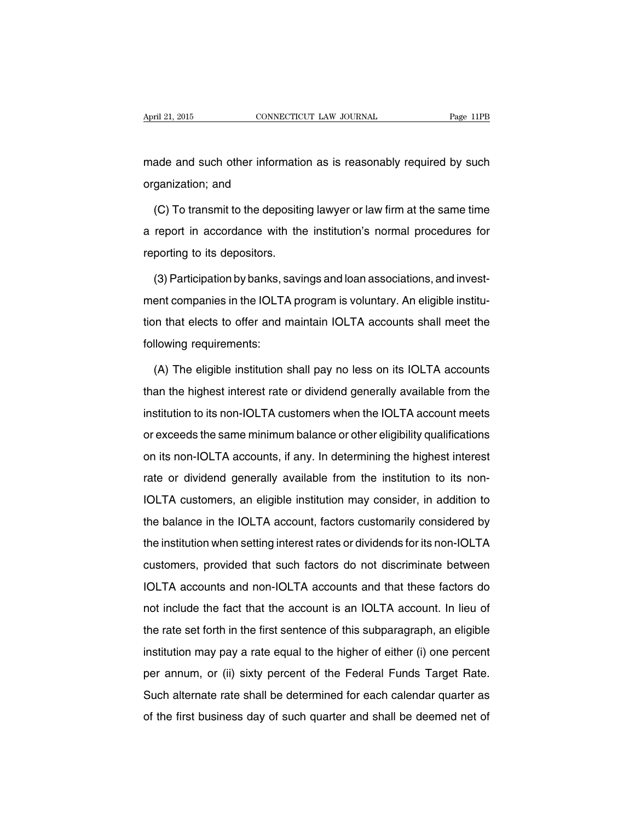made and such other information as is reasonably required by such organization; and

(C) To transmit to the depositing lawyer or law firm at the same time a report in accordance with the institution's normal procedures for reporting to its depositors.

(3) Participation by banks, savings and loan associations, and investment companies in the IOLTA program is voluntary. An eligible institution that elects to offer and maintain IOLTA accounts shall meet the following requirements:

(A) The eligible institution shall pay no less on its IOLTA accounts than the highest interest rate or dividend generally available from the institution to its non-IOLTA customers when the IOLTA account meets or exceeds the same minimum balance or other eligibility qualifications on its non-IOLTA accounts, if any. In determining the highest interest rate or dividend generally available from the institution to its non-IOLTA customers, an eligible institution may consider, in addition to the balance in the IOLTA account, factors customarily considered by the institution when setting interest rates or dividends for its non-IOLTA customers, provided that such factors do not discriminate between IOLTA accounts and non-IOLTA accounts and that these factors do not include the fact that the account is an IOLTA account. In lieu of the rate set forth in the first sentence of this subparagraph, an eligible institution may pay a rate equal to the higher of either (i) one percent per annum, or (ii) sixty percent of the Federal Funds Target Rate. Such alternate rate shall be determined for each calendar quarter as of the first business day of such quarter and shall be deemed net of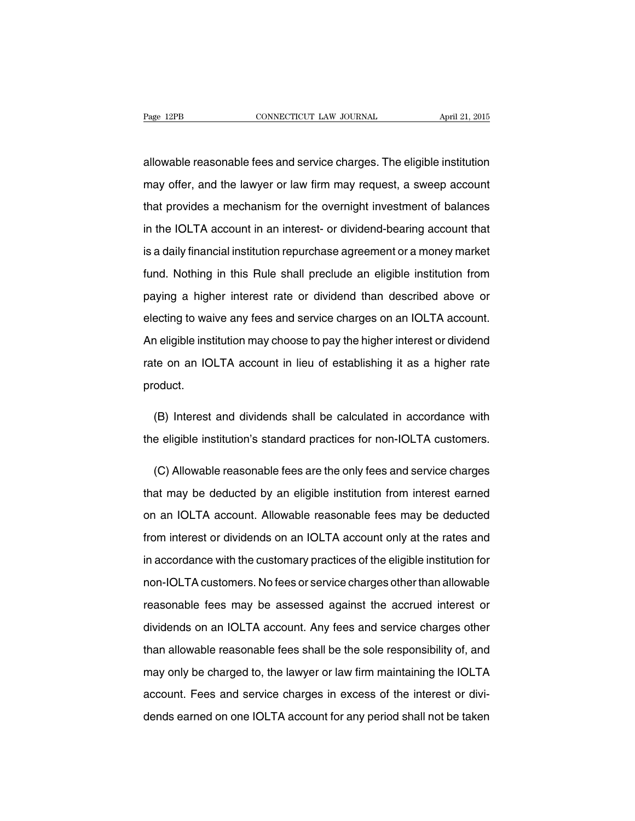allowable reasonable fees and service charges. The eligible institution may offer, and the lawyer or law firm may request, a sweep account that provides a mechanism for the overnight investment of balances in the IOLTA account in an interest- or dividend-bearing account that is a daily financial institution repurchase agreement or a money market fund. Nothing in this Rule shall preclude an eligible institution from paying a higher interest rate or dividend than described above or electing to waive any fees and service charges on an IOLTA account. An eligible institution may choose to pay the higher interest or dividend rate on an IOLTA account in lieu of establishing it as a higher rate product.

(B) Interest and dividends shall be calculated in accordance with the eligible institution's standard practices for non-IOLTA customers.

(C) Allowable reasonable fees are the only fees and service charges that may be deducted by an eligible institution from interest earned on an IOLTA account. Allowable reasonable fees may be deducted from interest or dividends on an IOLTA account only at the rates and in accordance with the customary practices of the eligible institution for non-IOLTA customers. No fees or service charges other than allowable reasonable fees may be assessed against the accrued interest or dividends on an IOLTA account. Any fees and service charges other than allowable reasonable fees shall be the sole responsibility of, and may only be charged to, the lawyer or law firm maintaining the IOLTA account. Fees and service charges in excess of the interest or dividends earned on one IOLTA account for any period shall not be taken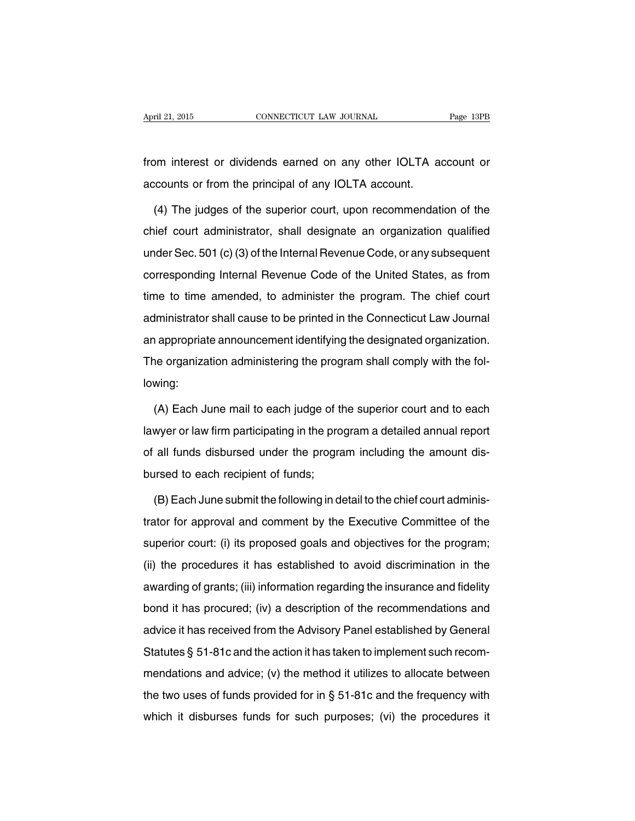from interest or dividends earned on any other IOLTA account or accounts or from the principal of any IOLTA account.

(4) The judges of the superior court, upon recommendation of the chief court administrator, shall designate an organization qualified under Sec. 501 (c)(3) of the Internal Revenue Code, or any subsequent corresponding Internal Revenue Code of the United States, as from time to time amended, to administer the program. The chief court administrator shall cause to be printed in the Connecticut Law Journal an appropriate announcement identifying the designated organization. The organization administering the program shall comply with the following:

(A) Each June mail to each judge of the superior court and to each lawyer or law firm participating in the program a detailed annual report of all funds disbursed under the program including the amount disbursed to each recipient of funds;

(B) Each June submit the following in detail to the chief court administrator for approval and comment by the Executive Committee of the superior court: (i) its proposed goals and objectives for the program; (ii) the procedures it has established to avoid discrimination in the awarding of grants; (iii) information regarding the insurance and fidelity bond it has procured; (iv) a description of the recommendations and advice it has received from the Advisory Panel established by General Statutes § 51-81c and the action it has taken to implement such recommendations and advice; (v) the method it utilizes to allocate between the two uses of funds provided for in § 51-81c and the frequency with which it disburses funds for such purposes; (vi) the procedures it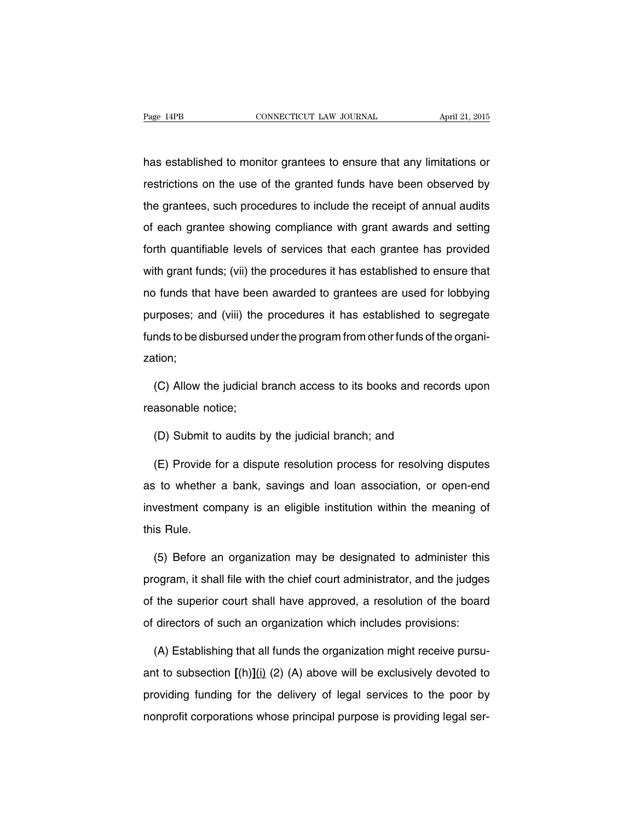has established to monitor grantees to ensure that any limitations or restrictions on the use of the granted funds have been observed by the grantees, such procedures to include the receipt of annual audits of each grantee showing compliance with grant awards and setting forth quantifiable levels of services that each grantee has provided with grant funds; (vii) the procedures it has established to ensure that no funds that have been awarded to grantees are used for lobbying purposes; and (viii) the procedures it has established to segregate funds to be disbursed under the program from other funds of the organization;

(C) Allow the judicial branch access to its books and records upon reasonable notice;

(D) Submit to audits by the judicial branch; and

(E) Provide for a dispute resolution process for resolving disputes as to whether a bank, savings and loan association, or open-end investment company is an eligible institution within the meaning of this Rule.

(5) Before an organization may be designated to administer this program, it shall file with the chief court administrator, and the judges of the superior court shall have approved, a resolution of the board of directors of such an organization which includes provisions:

(A) Establishing that all funds the organization might receive pursuant to subsection **[**(h)**]**(i) (2) (A) above will be exclusively devoted to providing funding for the delivery of legal services to the poor by nonprofit corporations whose principal purpose is providing legal ser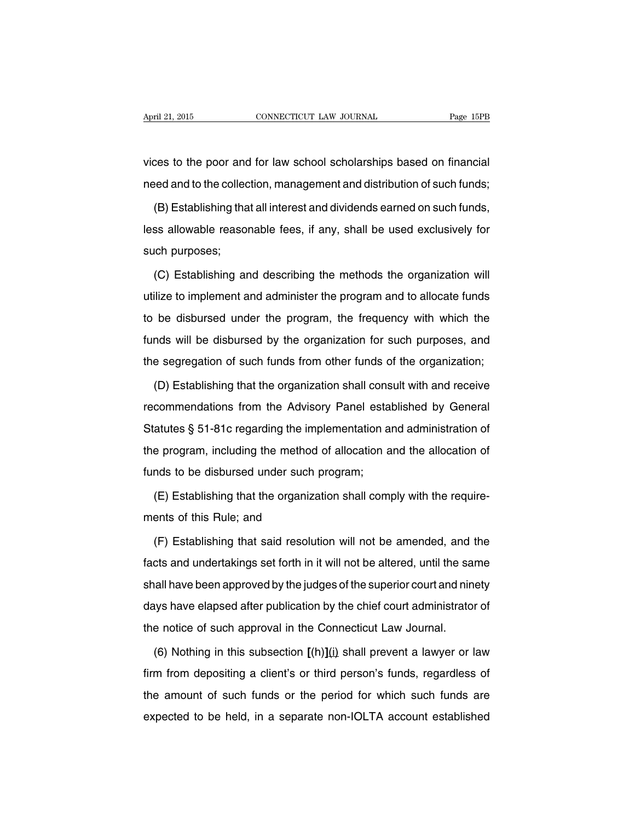vices to the poor and for law school scholarships based on financial need and to the collection, management and distribution of such funds;

(B) Establishing that all interest and dividends earned on such funds, less allowable reasonable fees, if any, shall be used exclusively for such purposes;

(C) Establishing and describing the methods the organization will utilize to implement and administer the program and to allocate funds to be disbursed under the program, the frequency with which the funds will be disbursed by the organization for such purposes, and the segregation of such funds from other funds of the organization;

(D) Establishing that the organization shall consult with and receive recommendations from the Advisory Panel established by General Statutes § 51-81c regarding the implementation and administration of the program, including the method of allocation and the allocation of funds to be disbursed under such program;

(E) Establishing that the organization shall comply with the requirements of this Rule; and

(F) Establishing that said resolution will not be amended, and the facts and undertakings set forth in it will not be altered, until the same shall have been approved by the judges of the superior court and ninety days have elapsed after publication by the chief court administrator of the notice of such approval in the Connecticut Law Journal.

(6) Nothing in this subsection **[**(h)**]**(i) shall prevent a lawyer or law firm from depositing a client's or third person's funds, regardless of the amount of such funds or the period for which such funds are expected to be held, in a separate non-IOLTA account established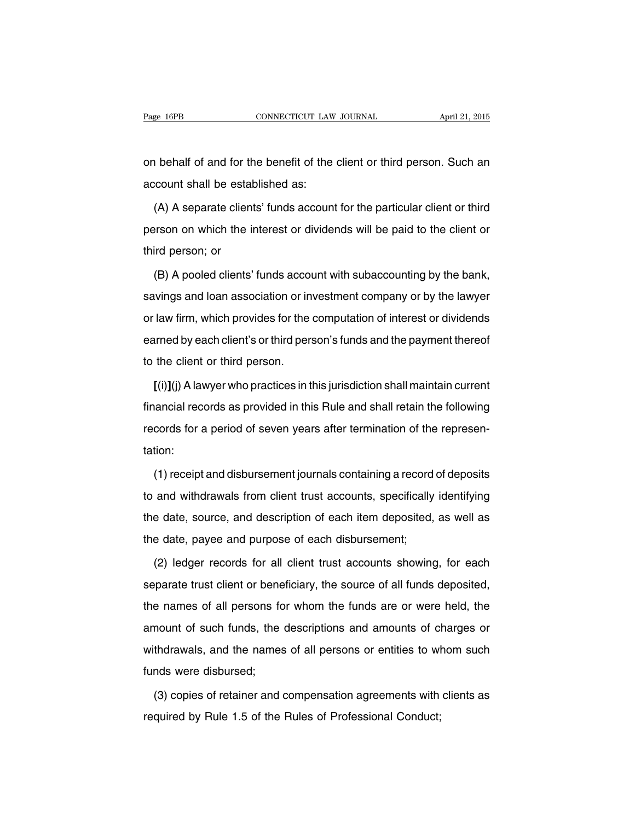on behalf of and for the benefit of the client or third person. Such an account shall be established as:

(A) A separate clients' funds account for the particular client or third person on which the interest or dividends will be paid to the client or third person; or

(B) A pooled clients' funds account with subaccounting by the bank, savings and loan association or investment company or by the lawyer or law firm, which provides for the computation of interest or dividends earned by each client's or third person's funds and the payment thereof to the client or third person.

**[**(i)**]**(j) A lawyer who practices in this jurisdiction shall maintain current financial records as provided in this Rule and shall retain the following records for a period of seven years after termination of the representation:

(1) receipt and disbursement journals containing a record of deposits to and withdrawals from client trust accounts, specifically identifying the date, source, and description of each item deposited, as well as the date, payee and purpose of each disbursement;

(2) ledger records for all client trust accounts showing, for each separate trust client or beneficiary, the source of all funds deposited, the names of all persons for whom the funds are or were held, the amount of such funds, the descriptions and amounts of charges or withdrawals, and the names of all persons or entities to whom such funds were disbursed;

(3) copies of retainer and compensation agreements with clients as required by Rule 1.5 of the Rules of Professional Conduct;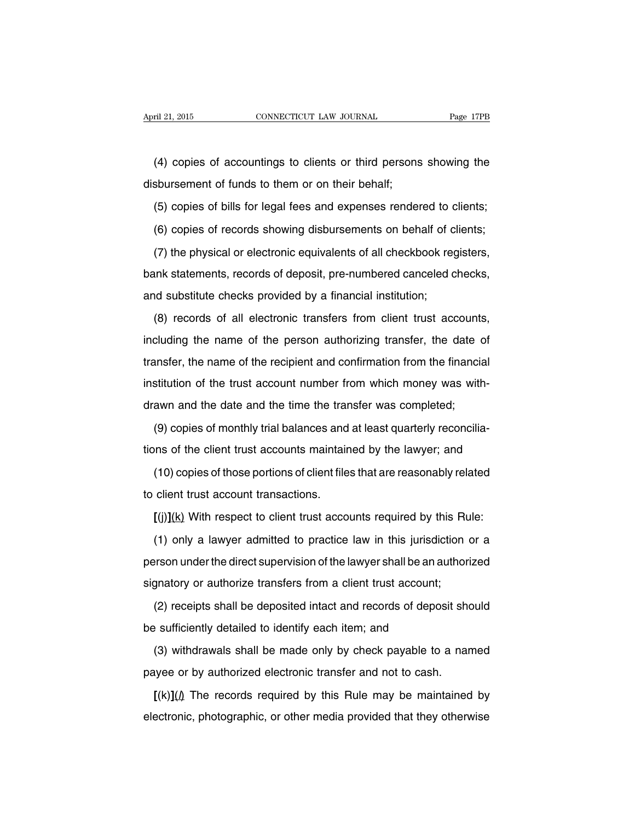(4) copies of accountings to clients or third persons showing the disbursement of funds to them or on their behalf;

(5) copies of bills for legal fees and expenses rendered to clients;

(6) copies of records showing disbursements on behalf of clients;

(7) the physical or electronic equivalents of all checkbook registers, bank statements, records of deposit, pre-numbered canceled checks, and substitute checks provided by a financial institution;

(8) records of all electronic transfers from client trust accounts, including the name of the person authorizing transfer, the date of transfer, the name of the recipient and confirmation from the financial institution of the trust account number from which money was withdrawn and the date and the time the transfer was completed;

(9) copies of monthly trial balances and at least quarterly reconciliations of the client trust accounts maintained by the lawyer; and

(10) copies of those portions of client files that are reasonably related to client trust account transactions.

**[**(j)**]**(k) With respect to client trust accounts required by this Rule:

(1) only a lawyer admitted to practice law in this jurisdiction or a person under the direct supervision of the lawyer shall be an authorized signatory or authorize transfers from a client trust account;

(2) receipts shall be deposited intact and records of deposit should be sufficiently detailed to identify each item; and

(3) withdrawals shall be made only by check payable to a named payee or by authorized electronic transfer and not to cash.

 $\left[\frac{(k)}{(l)}\right]$  The records required by this Rule may be maintained by electronic, photographic, or other media provided that they otherwise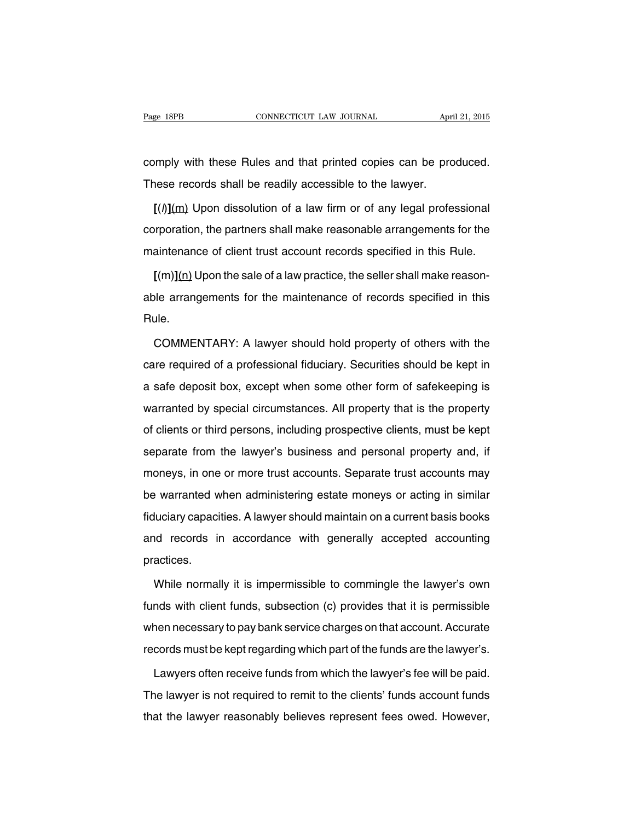comply with these Rules and that printed copies can be produced. These records shall be readily accessible to the lawyer.

**[**(l)**]**(m) Upon dissolution of a law firm or of any legal professional corporation, the partners shall make reasonable arrangements for the maintenance of client trust account records specified in this Rule.

**[**(m)**]**(n) Upon the sale of a law practice, the seller shall make reasonable arrangements for the maintenance of records specified in this Rule.

COMMENTARY: A lawyer should hold property of others with the care required of a professional fiduciary. Securities should be kept in a safe deposit box, except when some other form of safekeeping is warranted by special circumstances. All property that is the property of clients or third persons, including prospective clients, must be kept separate from the lawyer's business and personal property and, if moneys, in one or more trust accounts. Separate trust accounts may be warranted when administering estate moneys or acting in similar fiduciary capacities. A lawyer should maintain on a current basis books and records in accordance with generally accepted accounting practices.

While normally it is impermissible to commingle the lawyer's own funds with client funds, subsection (c) provides that it is permissible when necessary to pay bank service charges on that account. Accurate records must be kept regarding which part of the funds are the lawyer's.

Lawyers often receive funds from which the lawyer's fee will be paid. The lawyer is not required to remit to the clients' funds account funds that the lawyer reasonably believes represent fees owed. However,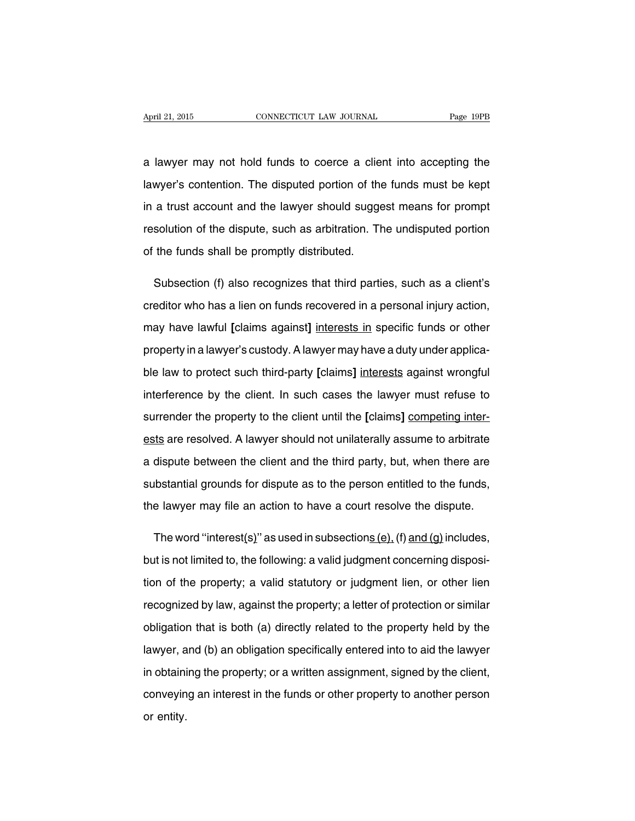a lawyer may not hold funds to coerce a client into accepting the lawyer's contention. The disputed portion of the funds must be kept in a trust account and the lawyer should suggest means for prompt resolution of the dispute, such as arbitration. The undisputed portion of the funds shall be promptly distributed.

Subsection (f) also recognizes that third parties, such as a client's creditor who has a lien on funds recovered in a personal injury action, may have lawful **[**claims against**]** interests in specific funds or other property in a lawyer's custody. A lawyer may have a duty under applicable law to protect such third-party **[**claims**]** interests against wrongful interference by the client. In such cases the lawyer must refuse to surrender the property to the client until the **[**claims**]** competing interests are resolved. A lawyer should not unilaterally assume to arbitrate a dispute between the client and the third party, but, when there are substantial grounds for dispute as to the person entitled to the funds, the lawyer may file an action to have a court resolve the dispute.

The word "interest(s)" as used in subsections  $(e)$ ,  $(f)$  and  $(g)$  includes, but is not limited to, the following: a valid judgment concerning disposition of the property; a valid statutory or judgment lien, or other lien recognized by law, against the property; a letter of protection or similar obligation that is both (a) directly related to the property held by the lawyer, and (b) an obligation specifically entered into to aid the lawyer in obtaining the property; or a written assignment, signed by the client, conveying an interest in the funds or other property to another person or entity.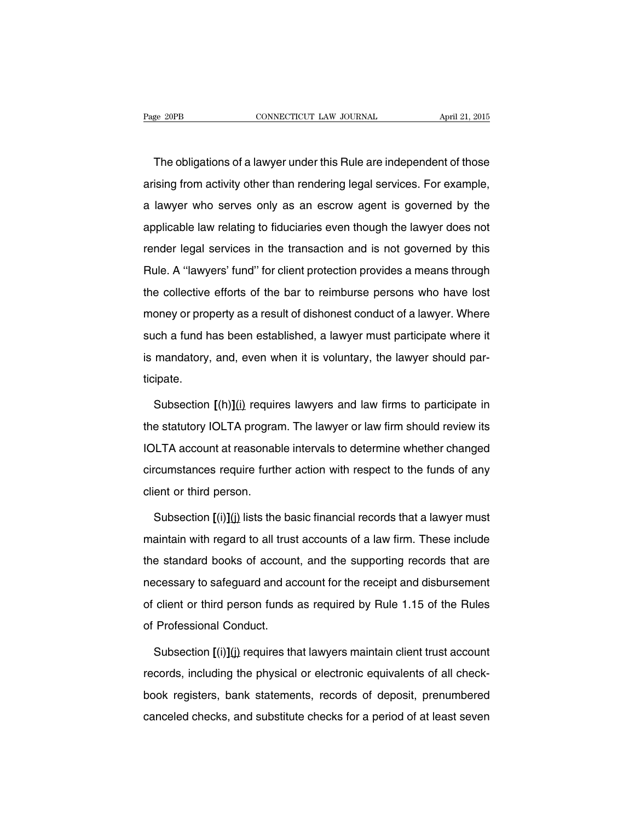The obligations of a lawyer under this Rule are independent of those arising from activity other than rendering legal services. For example, a lawyer who serves only as an escrow agent is governed by the applicable law relating to fiduciaries even though the lawyer does not render legal services in the transaction and is not governed by this Rule. A ''lawyers' fund'' for client protection provides a means through the collective efforts of the bar to reimburse persons who have lost money or property as a result of dishonest conduct of a lawyer. Where such a fund has been established, a lawyer must participate where it is mandatory, and, even when it is voluntary, the lawyer should participate.

Subsection **[**(h)**]**(i) requires lawyers and law firms to participate in the statutory IOLTA program. The lawyer or law firm should review its IOLTA account at reasonable intervals to determine whether changed circumstances require further action with respect to the funds of any client or third person.

Subsection  $[(i)](j)$  lists the basic financial records that a lawyer must maintain with regard to all trust accounts of a law firm. These include the standard books of account, and the supporting records that are necessary to safeguard and account for the receipt and disbursement of client or third person funds as required by Rule 1.15 of the Rules of Professional Conduct.

Subsection  $[(i)](j)$  requires that lawyers maintain client trust account records, including the physical or electronic equivalents of all checkbook registers, bank statements, records of deposit, prenumbered canceled checks, and substitute checks for a period of at least seven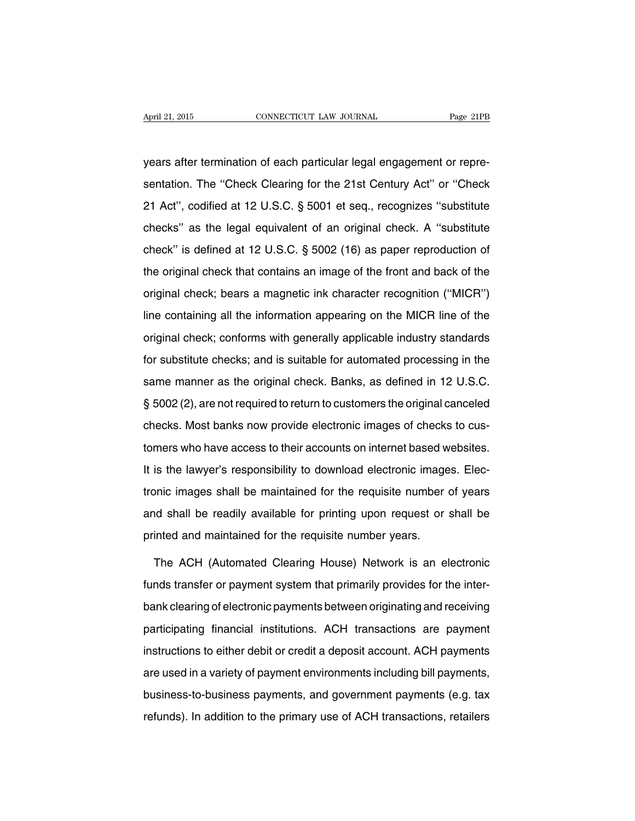years after termination of each particular legal engagement or representation. The ''Check Clearing for the 21st Century Act'' or ''Check 21 Act'', codified at 12 U.S.C. § 5001 et seq., recognizes ''substitute checks'' as the legal equivalent of an original check. A ''substitute check'' is defined at 12 U.S.C. § 5002 (16) as paper reproduction of the original check that contains an image of the front and back of the original check; bears a magnetic ink character recognition (''MICR'') line containing all the information appearing on the MICR line of the original check; conforms with generally applicable industry standards for substitute checks; and is suitable for automated processing in the same manner as the original check. Banks, as defined in 12 U.S.C. § 5002 (2), are not required to return to customers the original canceled checks. Most banks now provide electronic images of checks to customers who have access to their accounts on internet based websites. It is the lawyer's responsibility to download electronic images. Electronic images shall be maintained for the requisite number of years and shall be readily available for printing upon request or shall be printed and maintained for the requisite number years.

The ACH (Automated Clearing House) Network is an electronic funds transfer or payment system that primarily provides for the interbank clearing of electronic payments between originating and receiving participating financial institutions. ACH transactions are payment instructions to either debit or credit a deposit account. ACH payments are used in a variety of payment environments including bill payments, business-to-business payments, and government payments (e.g. tax refunds). In addition to the primary use of ACH transactions, retailers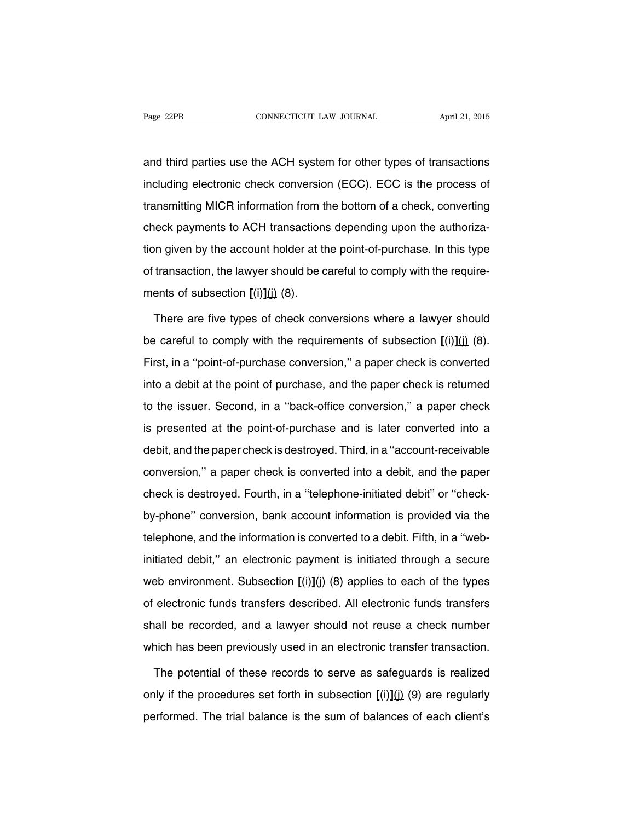and third parties use the ACH system for other types of transactions including electronic check conversion (ECC). ECC is the process of transmitting MICR information from the bottom of a check, converting check payments to ACH transactions depending upon the authorization given by the account holder at the point-of-purchase. In this type of transaction, the lawyer should be careful to comply with the requirements of subsection  $\int$ (i) $\int$ (i) (8).

There are five types of check conversions where a lawyer should be careful to comply with the requirements of subsection **[**(i)**]**(j) (8). First, in a ''point-of-purchase conversion,'' a paper check is converted into a debit at the point of purchase, and the paper check is returned to the issuer. Second, in a ''back-office conversion,'' a paper check is presented at the point-of-purchase and is later converted into a debit, and the paper check is destroyed. Third, in a ''account-receivable conversion,'' a paper check is converted into a debit, and the paper check is destroyed. Fourth, in a ''telephone-initiated debit'' or ''checkby-phone'' conversion, bank account information is provided via the telephone, and the information is converted to a debit. Fifth, in a ''webinitiated debit,'' an electronic payment is initiated through a secure web environment. Subsection  $[(i)](j)$  (8) applies to each of the types of electronic funds transfers described. All electronic funds transfers shall be recorded, and a lawyer should not reuse a check number which has been previously used in an electronic transfer transaction.

The potential of these records to serve as safeguards is realized only if the procedures set forth in subsection **[**(i)**]**(j) (9) are regularly performed. The trial balance is the sum of balances of each client's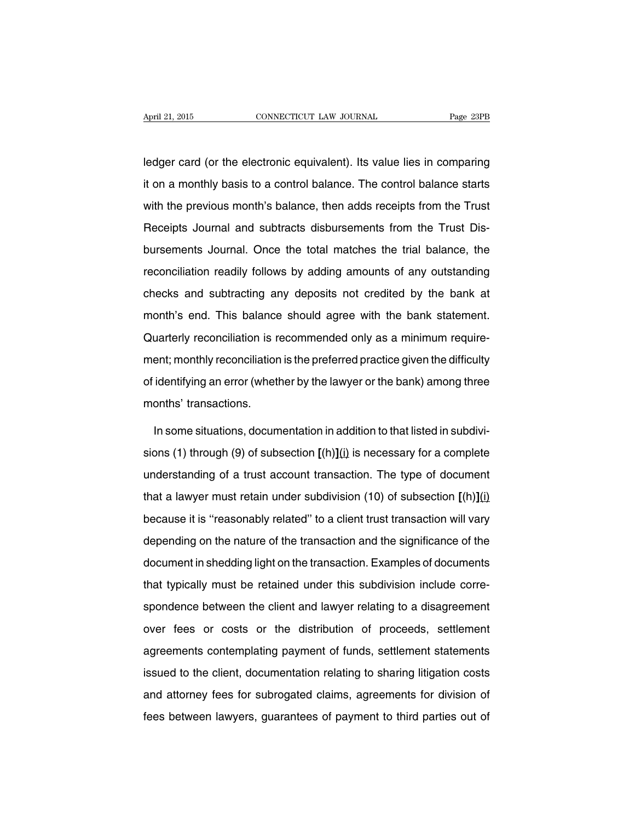ledger card (or the electronic equivalent). Its value lies in comparing it on a monthly basis to a control balance. The control balance starts with the previous month's balance, then adds receipts from the Trust Receipts Journal and subtracts disbursements from the Trust Disbursements Journal. Once the total matches the trial balance, the reconciliation readily follows by adding amounts of any outstanding checks and subtracting any deposits not credited by the bank at month's end. This balance should agree with the bank statement. Quarterly reconciliation is recommended only as a minimum requirement; monthly reconciliation is the preferred practice given the difficulty of identifying an error (whether by the lawyer or the bank) among three months' transactions.

In some situations, documentation in addition to that listed in subdivisions (1) through (9) of subsection **[**(h)**]**(i) is necessary for a complete understanding of a trust account transaction. The type of document that a lawyer must retain under subdivision (10) of subsection **[**(h)**]**(i) because it is ''reasonably related'' to a client trust transaction will vary depending on the nature of the transaction and the significance of the document in shedding light on the transaction. Examples of documents that typically must be retained under this subdivision include correspondence between the client and lawyer relating to a disagreement over fees or costs or the distribution of proceeds, settlement agreements contemplating payment of funds, settlement statements issued to the client, documentation relating to sharing litigation costs and attorney fees for subrogated claims, agreements for division of fees between lawyers, guarantees of payment to third parties out of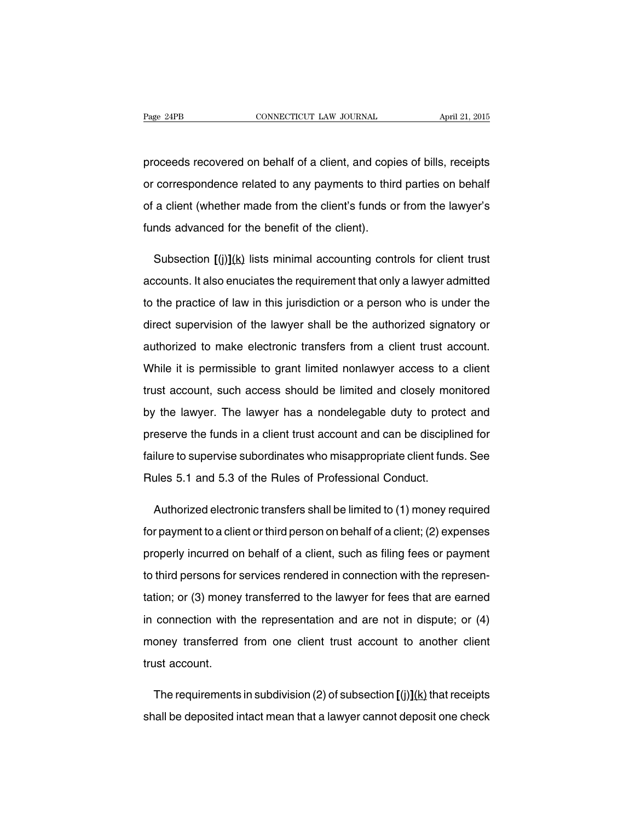proceeds recovered on behalf of a client, and copies of bills, receipts or correspondence related to any payments to third parties on behalf of a client (whether made from the client's funds or from the lawyer's funds advanced for the benefit of the client).

Subsection  $[(i)](k)$  lists minimal accounting controls for client trust accounts. It also enuciates the requirement that only a lawyer admitted to the practice of law in this jurisdiction or a person who is under the direct supervision of the lawyer shall be the authorized signatory or authorized to make electronic transfers from a client trust account. While it is permissible to grant limited nonlawyer access to a client trust account, such access should be limited and closely monitored by the lawyer. The lawyer has a nondelegable duty to protect and preserve the funds in a client trust account and can be disciplined for failure to supervise subordinates who misappropriate client funds. See Rules 5.1 and 5.3 of the Rules of Professional Conduct.

Authorized electronic transfers shall be limited to (1) money required for payment to a client or third person on behalf of a client; (2) expenses properly incurred on behalf of a client, such as filing fees or payment to third persons for services rendered in connection with the representation; or (3) money transferred to the lawyer for fees that are earned in connection with the representation and are not in dispute; or (4) money transferred from one client trust account to another client trust account.

The requirements in subdivision (2) of subsection **[**(j)**]**(k) that receipts shall be deposited intact mean that a lawyer cannot deposit one check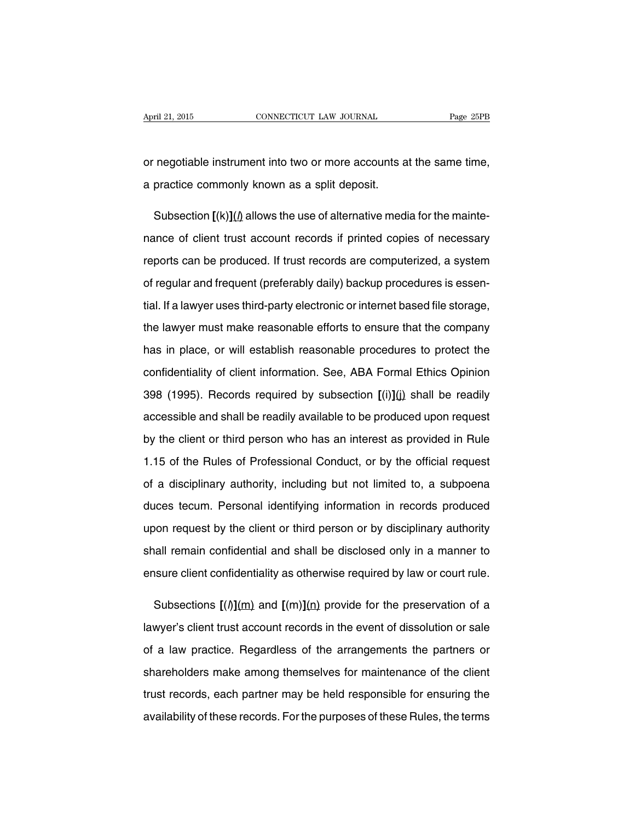or negotiable instrument into two or more accounts at the same time, a practice commonly known as a split deposit.

Subsection  $\left[\frac{(k)}{l}\right]$  allows the use of alternative media for the maintenance of client trust account records if printed copies of necessary reports can be produced. If trust records are computerized, a system of regular and frequent (preferably daily) backup procedures is essential. If a lawyer uses third-party electronic or internet based file storage, the lawyer must make reasonable efforts to ensure that the company has in place, or will establish reasonable procedures to protect the confidentiality of client information. See, ABA Formal Ethics Opinion 398 (1995). Records required by subsection **[**(i)**]**(j) shall be readily accessible and shall be readily available to be produced upon request by the client or third person who has an interest as provided in Rule 1.15 of the Rules of Professional Conduct, or by the official request of a disciplinary authority, including but not limited to, a subpoena duces tecum. Personal identifying information in records produced upon request by the client or third person or by disciplinary authority shall remain confidential and shall be disclosed only in a manner to ensure client confidentiality as otherwise required by law or court rule.

Subsections  $[(\Lambda)(m)$  and  $[(m)](n)$  provide for the preservation of a lawyer's client trust account records in the event of dissolution or sale of a law practice. Regardless of the arrangements the partners or shareholders make among themselves for maintenance of the client trust records, each partner may be held responsible for ensuring the availability of these records. For the purposes of these Rules, the terms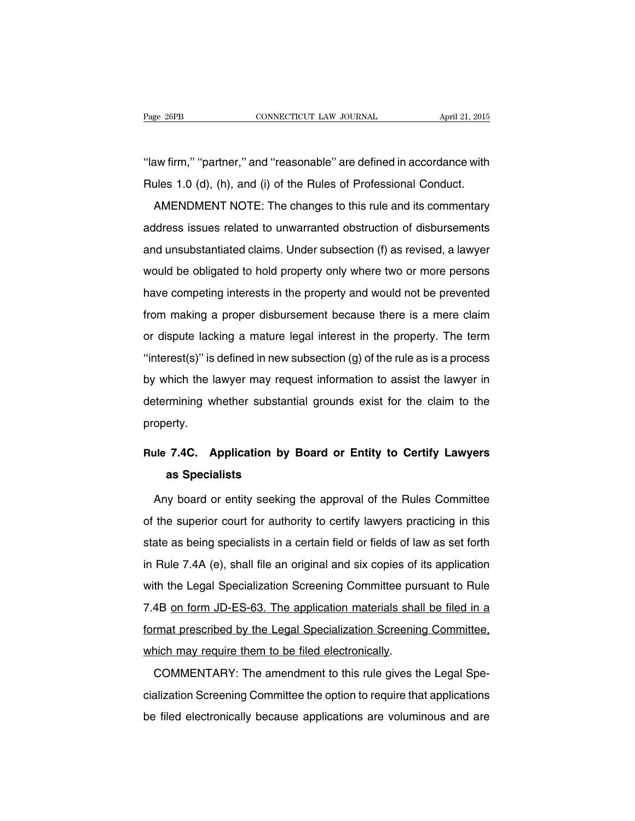''law firm,'' ''partner,'' and ''reasonable'' are defined in accordance with Rules 1.0 (d), (h), and (i) of the Rules of Professional Conduct.

AMENDMENT NOTE: The changes to this rule and its commentary address issues related to unwarranted obstruction of disbursements and unsubstantiated claims. Under subsection (f) as revised, a lawyer would be obligated to hold property only where two or more persons have competing interests in the property and would not be prevented from making a proper disbursement because there is a mere claim or dispute lacking a mature legal interest in the property. The term "interest(s)" is defined in new subsection  $(g)$  of the rule as is a process by which the lawyer may request information to assist the lawyer in determining whether substantial grounds exist for the claim to the property.

### **Rule 7.4C. Application by Board or Entity to Certify Lawyers as Specialists**

Any board or entity seeking the approval of the Rules Committee of the superior court for authority to certify lawyers practicing in this state as being specialists in a certain field or fields of law as set forth in Rule 7.4A (e), shall file an original and six copies of its application with the Legal Specialization Screening Committee pursuant to Rule 7.4B on form JD-ES-63. The application materials shall be filed in a format prescribed by the Legal Specialization Screening Committee, which may require them to be filed electronically.

COMMENTARY: The amendment to this rule gives the Legal Specialization Screening Committee the option to require that applications be filed electronically because applications are voluminous and are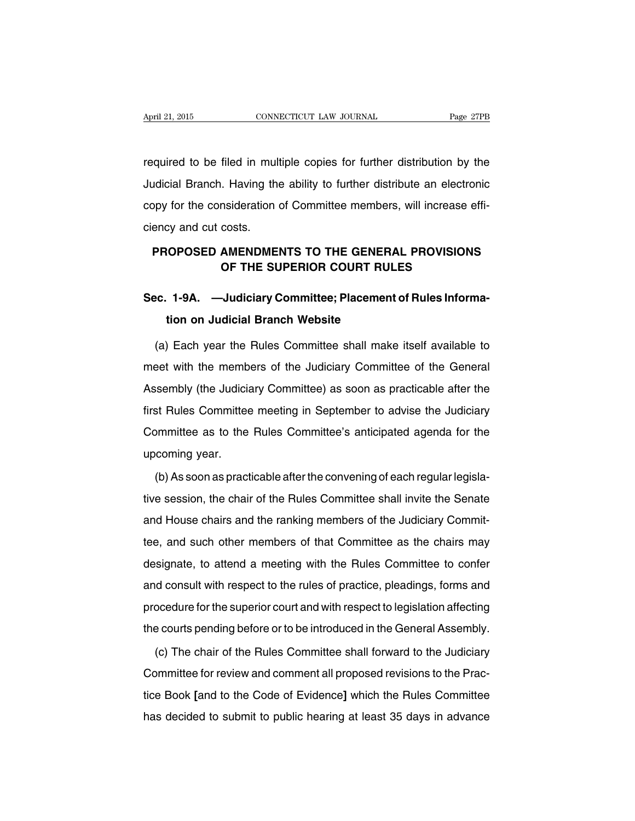required to be filed in multiple copies for further distribution by the Judicial Branch. Having the ability to further distribute an electronic copy for the consideration of Committee members, will increase efficiency and cut costs.

### **PROPOSED AMENDMENTS TO THE GENERAL PROVISIONS OF THE SUPERIOR COURT RULES**

### **Sec. 1-9A. —Judiciary Committee; Placement of Rules Information on Judicial Branch Website**

(a) Each year the Rules Committee shall make itself available to meet with the members of the Judiciary Committee of the General Assembly (the Judiciary Committee) as soon as practicable after the first Rules Committee meeting in September to advise the Judiciary Committee as to the Rules Committee's anticipated agenda for the upcoming year.

(b) As soon as practicable after the convening of each regular legislative session, the chair of the Rules Committee shall invite the Senate and House chairs and the ranking members of the Judiciary Committee, and such other members of that Committee as the chairs may designate, to attend a meeting with the Rules Committee to confer and consult with respect to the rules of practice, pleadings, forms and procedure for the superior court and with respect to legislation affecting the courts pending before or to be introduced in the General Assembly.

(c) The chair of the Rules Committee shall forward to the Judiciary Committee for review and comment all proposed revisions to the Practice Book **[**and to the Code of Evidence**]** which the Rules Committee has decided to submit to public hearing at least 35 days in advance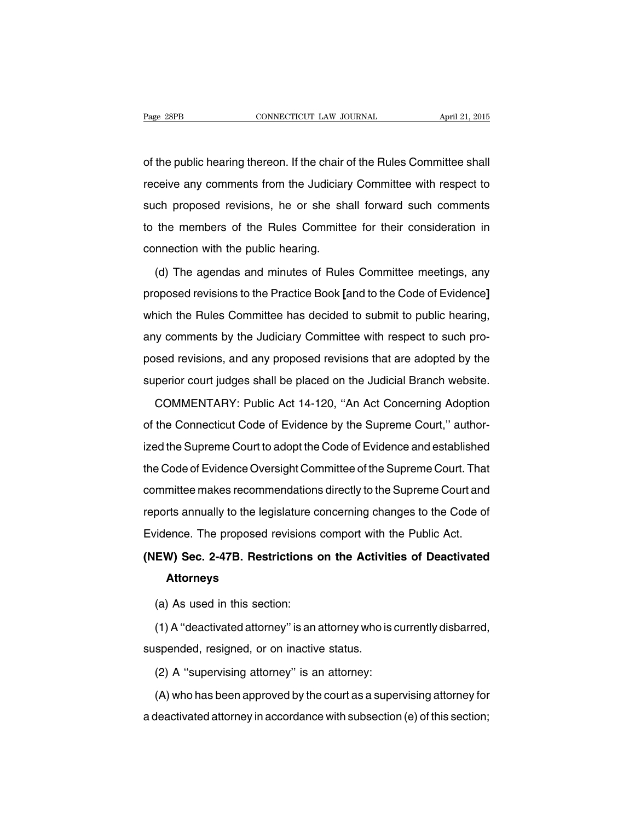of the public hearing thereon. If the chair of the Rules Committee shall receive any comments from the Judiciary Committee with respect to such proposed revisions, he or she shall forward such comments to the members of the Rules Committee for their consideration in connection with the public hearing.

(d) The agendas and minutes of Rules Committee meetings, any proposed revisions to the Practice Book **[**and to the Code of Evidence**]** which the Rules Committee has decided to submit to public hearing, any comments by the Judiciary Committee with respect to such proposed revisions, and any proposed revisions that are adopted by the superior court judges shall be placed on the Judicial Branch website.

COMMENTARY: Public Act 14-120, ''An Act Concerning Adoption of the Connecticut Code of Evidence by the Supreme Court,'' authorized the Supreme Court to adopt the Code of Evidence and established the Code of Evidence Oversight Committee of the Supreme Court. That committee makes recommendations directly to the Supreme Court and reports annually to the legislature concerning changes to the Code of Evidence. The proposed revisions comport with the Public Act.

## **(NEW) Sec. 2-47B. Restrictions on the Activities of Deactivated Attorneys**

(a) As used in this section:

(1) A ''deactivated attorney'' is an attorney who is currently disbarred, suspended, resigned, or on inactive status.

(2) A ''supervising attorney'' is an attorney:

(A) who has been approved by the court as a supervising attorney for a deactivated attorney in accordance with subsection (e) of this section;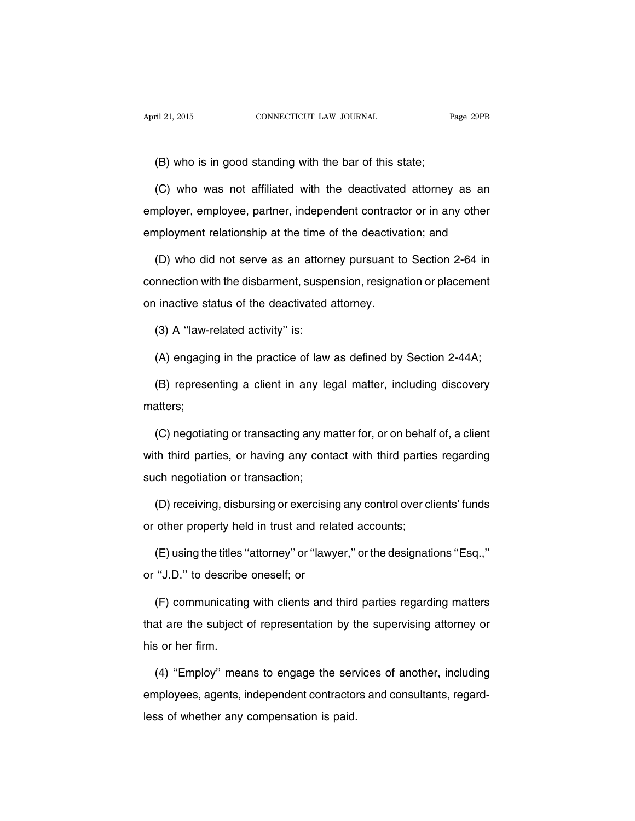(B) who is in good standing with the bar of this state;

(C) who was not affiliated with the deactivated attorney as an employer, employee, partner, independent contractor or in any other employment relationship at the time of the deactivation; and

(D) who did not serve as an attorney pursuant to Section 2-64 in connection with the disbarment, suspension, resignation or placement on inactive status of the deactivated attorney.

(3) A ''law-related activity'' is:

(A) engaging in the practice of law as defined by Section 2-44A;

(B) representing a client in any legal matter, including discovery matters;

(C) negotiating or transacting any matter for, or on behalf of, a client with third parties, or having any contact with third parties regarding such negotiation or transaction;

(D) receiving, disbursing or exercising any control over clients' funds or other property held in trust and related accounts;

(E) using the titles ''attorney'' or ''lawyer,'' or the designations ''Esq.,'' or ''J.D.'' to describe oneself; or

(F) communicating with clients and third parties regarding matters that are the subject of representation by the supervising attorney or his or her firm.

(4) ''Employ'' means to engage the services of another, including employees, agents, independent contractors and consultants, regardless of whether any compensation is paid.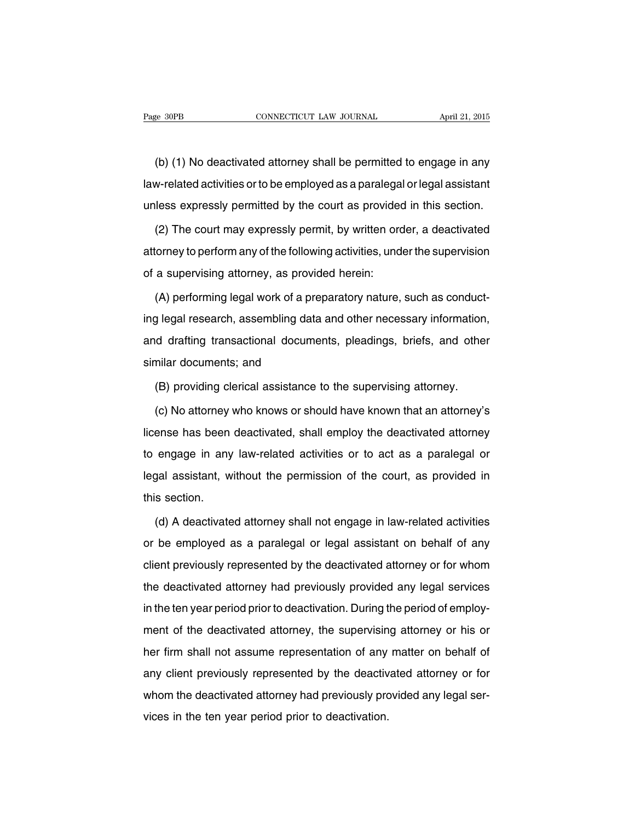(b) (1) No deactivated attorney shall be permitted to engage in any law-related activities or to be employed as a paralegal or legal assistant unless expressly permitted by the court as provided in this section.

(2) The court may expressly permit, by written order, a deactivated attorney to perform any of the following activities, under the supervision of a supervising attorney, as provided herein:

(A) performing legal work of a preparatory nature, such as conducting legal research, assembling data and other necessary information, and drafting transactional documents, pleadings, briefs, and other similar documents; and

(B) providing clerical assistance to the supervising attorney.

(c) No attorney who knows or should have known that an attorney's license has been deactivated, shall employ the deactivated attorney to engage in any law-related activities or to act as a paralegal or legal assistant, without the permission of the court, as provided in this section.

(d) A deactivated attorney shall not engage in law-related activities or be employed as a paralegal or legal assistant on behalf of any client previously represented by the deactivated attorney or for whom the deactivated attorney had previously provided any legal services in the ten year period prior to deactivation. During the period of employment of the deactivated attorney, the supervising attorney or his or her firm shall not assume representation of any matter on behalf of any client previously represented by the deactivated attorney or for whom the deactivated attorney had previously provided any legal services in the ten year period prior to deactivation.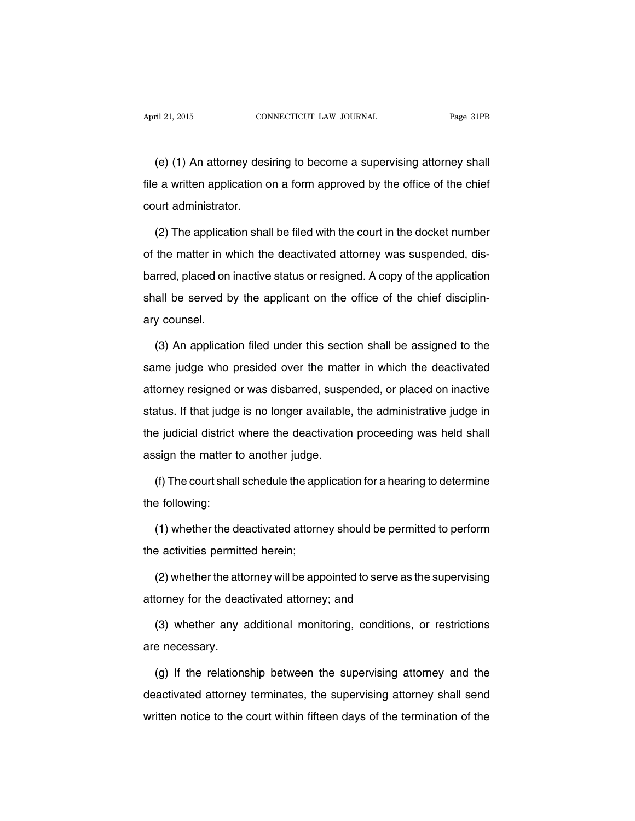(e) (1) An attorney desiring to become a supervising attorney shall file a written application on a form approved by the office of the chief court administrator.

(2) The application shall be filed with the court in the docket number of the matter in which the deactivated attorney was suspended, disbarred, placed on inactive status or resigned. A copy of the application shall be served by the applicant on the office of the chief disciplinary counsel.

(3) An application filed under this section shall be assigned to the same judge who presided over the matter in which the deactivated attorney resigned or was disbarred, suspended, or placed on inactive status. If that judge is no longer available, the administrative judge in the judicial district where the deactivation proceeding was held shall assign the matter to another judge.

(f) The court shall schedule the application for a hearing to determine the following:

(1) whether the deactivated attorney should be permitted to perform the activities permitted herein;

(2) whether the attorney will be appointed to serve as the supervising attorney for the deactivated attorney; and

(3) whether any additional monitoring, conditions, or restrictions are necessary.

(g) If the relationship between the supervising attorney and the deactivated attorney terminates, the supervising attorney shall send written notice to the court within fifteen days of the termination of the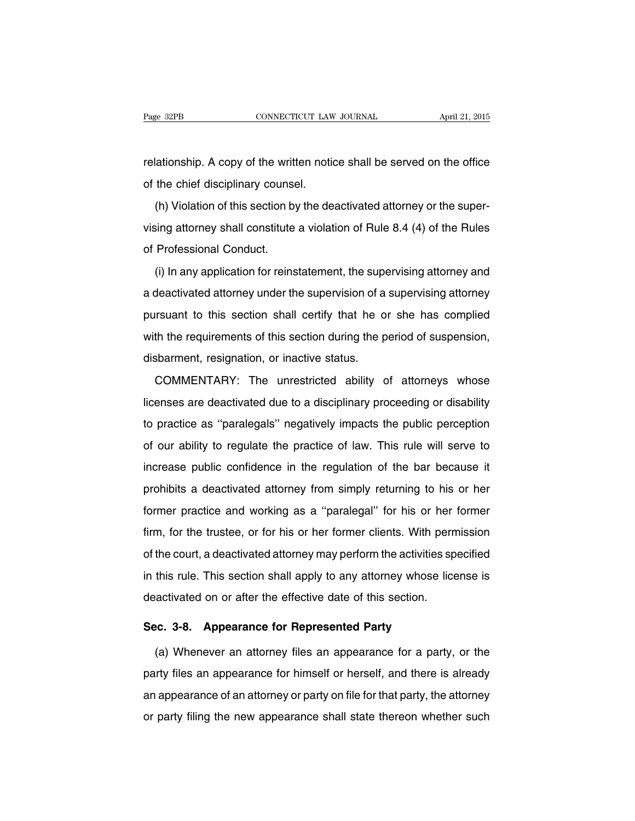relationship. A copy of the written notice shall be served on the office of the chief disciplinary counsel.

(h) Violation of this section by the deactivated attorney or the supervising attorney shall constitute a violation of Rule 8.4 (4) of the Rules of Professional Conduct.

(i) In any application for reinstatement, the supervising attorney and a deactivated attorney under the supervision of a supervising attorney pursuant to this section shall certify that he or she has complied with the requirements of this section during the period of suspension, disbarment, resignation, or inactive status.

COMMENTARY: The unrestricted ability of attorneys whose licenses are deactivated due to a disciplinary proceeding or disability to practice as ''paralegals'' negatively impacts the public perception of our ability to regulate the practice of law. This rule will serve to increase public confidence in the regulation of the bar because it prohibits a deactivated attorney from simply returning to his or her former practice and working as a ''paralegal'' for his or her former firm, for the trustee, or for his or her former clients. With permission of the court, a deactivated attorney may perform the activities specified in this rule. This section shall apply to any attorney whose license is deactivated on or after the effective date of this section.

#### **Sec. 3-8. Appearance for Represented Party**

(a) Whenever an attorney files an appearance for a party, or the party files an appearance for himself or herself, and there is already an appearance of an attorney or party on file for that party, the attorney or party filing the new appearance shall state thereon whether such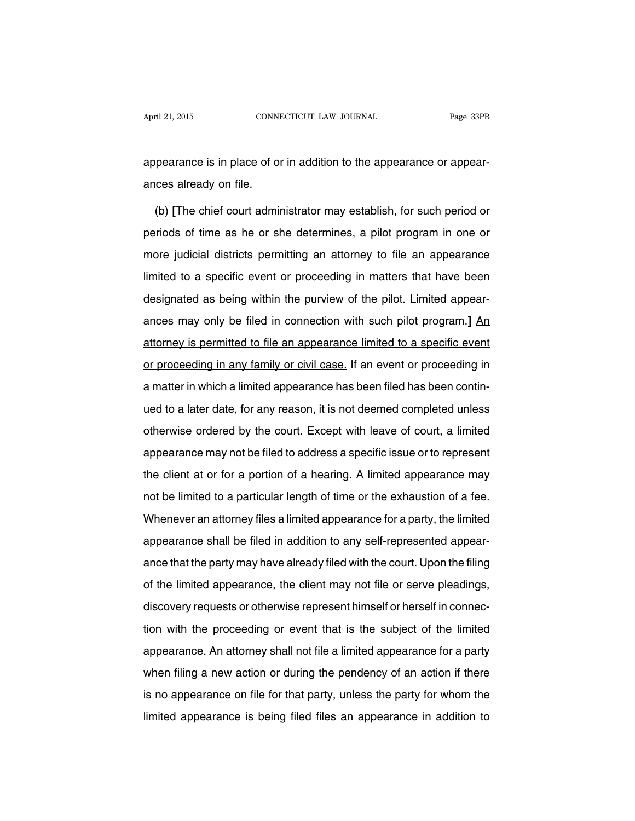appearance is in place of or in addition to the appearance or appearances already on file.

(b) **[**The chief court administrator may establish, for such period or periods of time as he or she determines, a pilot program in one or more judicial districts permitting an attorney to file an appearance limited to a specific event or proceeding in matters that have been designated as being within the purview of the pilot. Limited appearances may only be filed in connection with such pilot program.**]** An attorney is permitted to file an appearance limited to a specific event or proceeding in any family or civil case. If an event or proceeding in a matter in which a limited appearance has been filed has been continued to a later date, for any reason, it is not deemed completed unless otherwise ordered by the court. Except with leave of court, a limited appearance may not be filed to address a specific issue or to represent the client at or for a portion of a hearing. A limited appearance may not be limited to a particular length of time or the exhaustion of a fee. Whenever an attorney files a limited appearance for a party, the limited appearance shall be filed in addition to any self-represented appearance that the party may have already filed with the court. Upon the filing of the limited appearance, the client may not file or serve pleadings, discovery requests or otherwise represent himself or herself in connection with the proceeding or event that is the subject of the limited appearance. An attorney shall not file a limited appearance for a party when filing a new action or during the pendency of an action if there is no appearance on file for that party, unless the party for whom the limited appearance is being filed files an appearance in addition to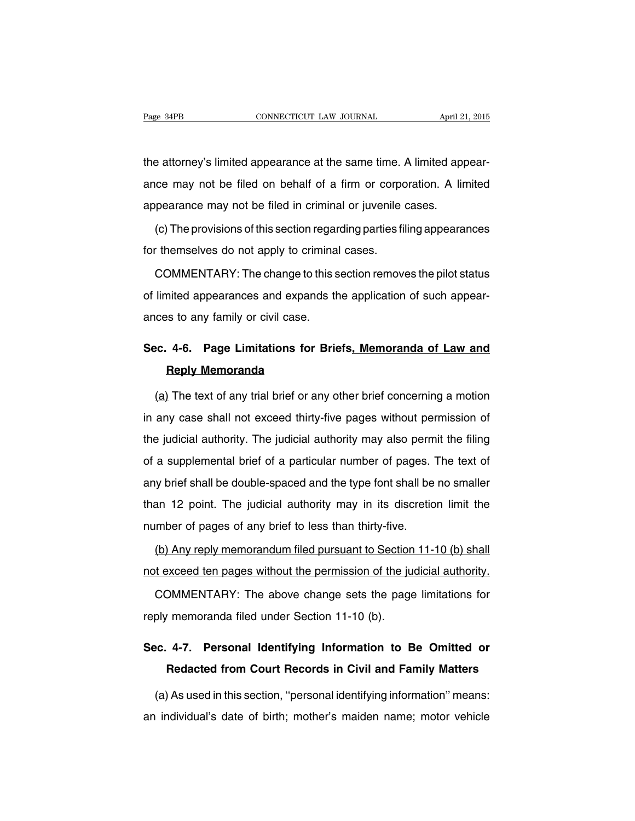the attorney's limited appearance at the same time. A limited appearance may not be filed on behalf of a firm or corporation. A limited appearance may not be filed in criminal or juvenile cases.

(c) The provisions of this section regarding parties filing appearances for themselves do not apply to criminal cases.

COMMENTARY: The change to this section removes the pilot status of limited appearances and expands the application of such appearances to any family or civil case.

### **Sec. 4-6. Page Limitations for Briefs, Memoranda of Law and Reply Memoranda**

(a) The text of any trial brief or any other brief concerning a motion in any case shall not exceed thirty-five pages without permission of the judicial authority. The judicial authority may also permit the filing of a supplemental brief of a particular number of pages. The text of any brief shall be double-spaced and the type font shall be no smaller than 12 point. The judicial authority may in its discretion limit the number of pages of any brief to less than thirty-five.

(b) Any reply memorandum filed pursuant to Section 11-10 (b) shall not exceed ten pages without the permission of the judicial authority.

COMMENTARY: The above change sets the page limitations for reply memoranda filed under Section 11-10 (b).

### **Sec. 4-7. Personal Identifying Information to Be Omitted or Redacted from Court Records in Civil and Family Matters**

(a) As used in this section, ''personal identifying information'' means: an individual's date of birth; mother's maiden name; motor vehicle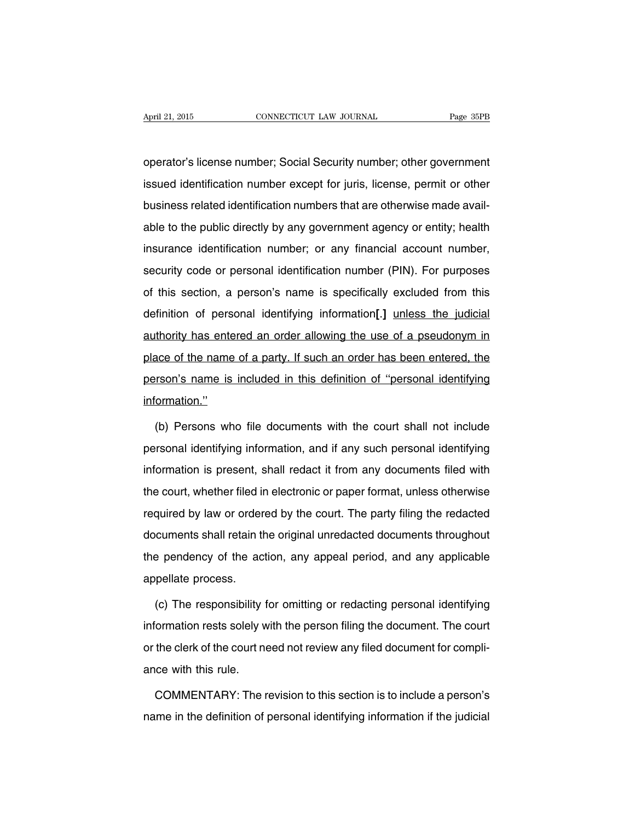operator's license number; Social Security number; other government issued identification number except for juris, license, permit or other business related identification numbers that are otherwise made available to the public directly by any government agency or entity; health insurance identification number; or any financial account number, security code or personal identification number (PIN). For purposes of this section, a person's name is specifically excluded from this definition of personal identifying information**[**.**]** unless the judicial authority has entered an order allowing the use of a pseudonym in place of the name of a party. If such an order has been entered, the person's name is included in this definition of ''personal identifying information.''

(b) Persons who file documents with the court shall not include personal identifying information, and if any such personal identifying information is present, shall redact it from any documents filed with the court, whether filed in electronic or paper format, unless otherwise required by law or ordered by the court. The party filing the redacted documents shall retain the original unredacted documents throughout the pendency of the action, any appeal period, and any applicable appellate process.

(c) The responsibility for omitting or redacting personal identifying information rests solely with the person filing the document. The court or the clerk of the court need not review any filed document for compliance with this rule.

COMMENTARY: The revision to this section is to include a person's name in the definition of personal identifying information if the judicial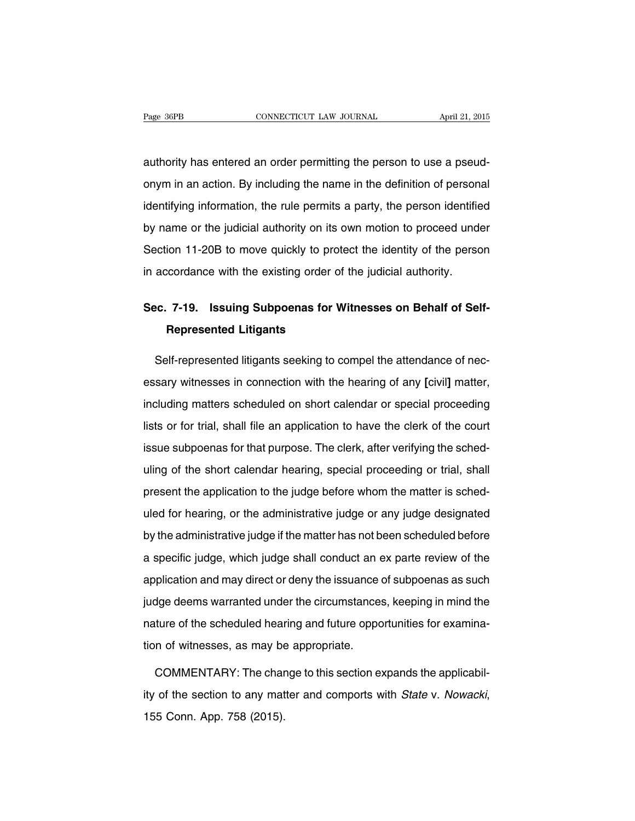authority has entered an order permitting the person to use a pseudonym in an action. By including the name in the definition of personal identifying information, the rule permits a party, the person identified by name or the judicial authority on its own motion to proceed under Section 11-20B to move quickly to protect the identity of the person in accordance with the existing order of the judicial authority.

### **Sec. 7-19. Issuing Subpoenas for Witnesses on Behalf of Self-Represented Litigants**

Self-represented litigants seeking to compel the attendance of necessary witnesses in connection with the hearing of any **[**civil**]** matter, including matters scheduled on short calendar or special proceeding lists or for trial, shall file an application to have the clerk of the court issue subpoenas for that purpose. The clerk, after verifying the scheduling of the short calendar hearing, special proceeding or trial, shall present the application to the judge before whom the matter is scheduled for hearing, or the administrative judge or any judge designated by the administrative judge if the matter has not been scheduled before a specific judge, which judge shall conduct an ex parte review of the application and may direct or deny the issuance of subpoenas as such judge deems warranted under the circumstances, keeping in mind the nature of the scheduled hearing and future opportunities for examination of witnesses, as may be appropriate.

COMMENTARY: The change to this section expands the applicability of the section to any matter and comports with State v. Nowacki, 155 Conn. App. 758 (2015).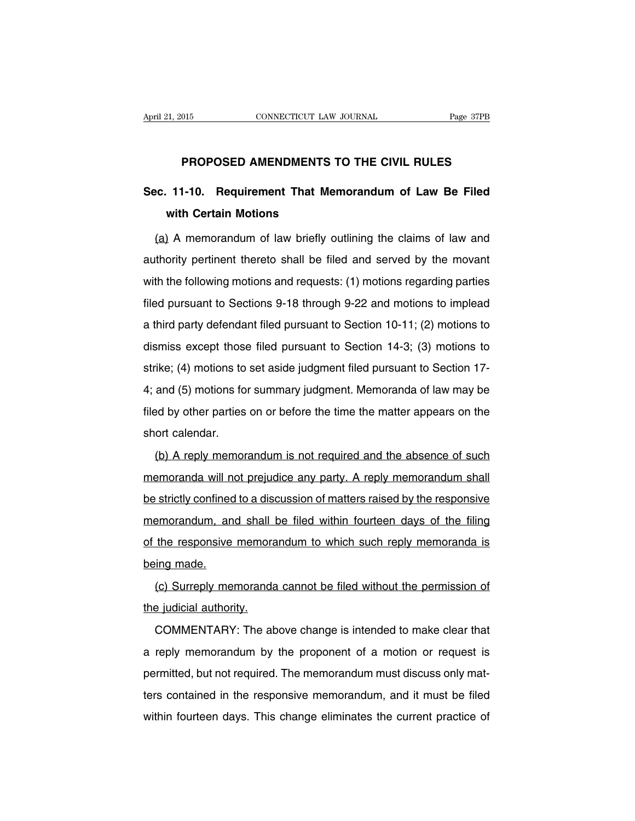#### **PROPOSED AMENDMENTS TO THE CIVIL RULES**

### **Sec. 11-10. Requirement That Memorandum of Law Be Filed with Certain Motions**

(a) A memorandum of law briefly outlining the claims of law and authority pertinent thereto shall be filed and served by the movant with the following motions and requests: (1) motions regarding parties filed pursuant to Sections 9-18 through 9-22 and motions to implead a third party defendant filed pursuant to Section 10-11; (2) motions to dismiss except those filed pursuant to Section 14-3; (3) motions to strike; (4) motions to set aside judgment filed pursuant to Section 17- 4; and (5) motions for summary judgment. Memoranda of law may be filed by other parties on or before the time the matter appears on the short calendar.

(b) A reply memorandum is not required and the absence of such memoranda will not prejudice any party. A reply memorandum shall be strictly confined to a discussion of matters raised by the responsive memorandum, and shall be filed within fourteen days of the filing of the responsive memorandum to which such reply memoranda is being made.

(c) Surreply memoranda cannot be filed without the permission of the judicial authority.

COMMENTARY: The above change is intended to make clear that a reply memorandum by the proponent of a motion or request is permitted, but not required. The memorandum must discuss only matters contained in the responsive memorandum, and it must be filed within fourteen days. This change eliminates the current practice of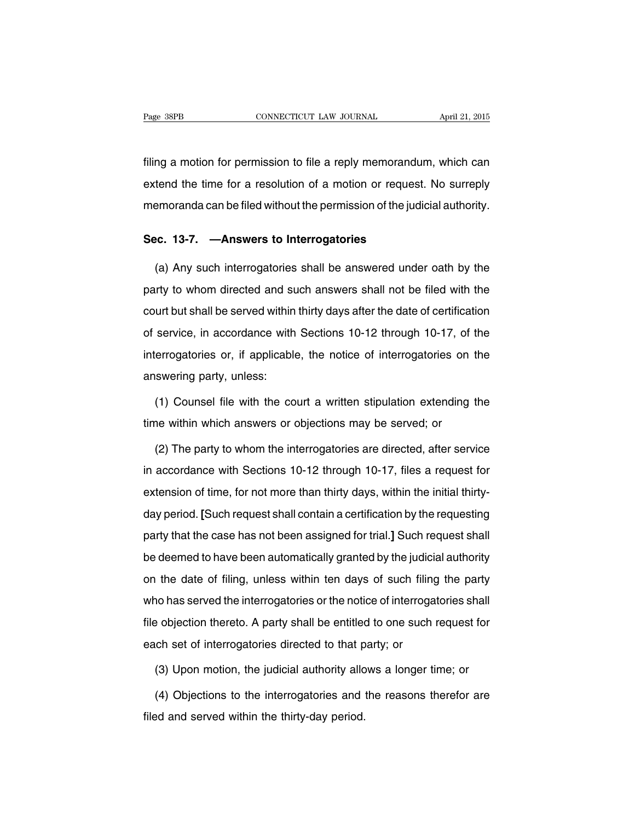filing a motion for permission to file a reply memorandum, which can extend the time for a resolution of a motion or request. No surreply memoranda can be filed without the permission of the judicial authority.

#### **Sec. 13-7. —Answers to Interrogatories**

(a) Any such interrogatories shall be answered under oath by the party to whom directed and such answers shall not be filed with the court but shall be served within thirty days after the date of certification of service, in accordance with Sections 10-12 through 10-17, of the interrogatories or, if applicable, the notice of interrogatories on the answering party, unless:

(1) Counsel file with the court a written stipulation extending the time within which answers or objections may be served; or

(2) The party to whom the interrogatories are directed, after service in accordance with Sections 10-12 through 10-17, files a request for extension of time, for not more than thirty days, within the initial thirtyday period. **[**Such request shall contain a certification by the requesting party that the case has not been assigned for trial.**]** Such request shall be deemed to have been automatically granted by the judicial authority on the date of filing, unless within ten days of such filing the party who has served the interrogatories or the notice of interrogatories shall file objection thereto. A party shall be entitled to one such request for each set of interrogatories directed to that party; or

(3) Upon motion, the judicial authority allows a longer time; or

(4) Objections to the interrogatories and the reasons therefor are filed and served within the thirty-day period.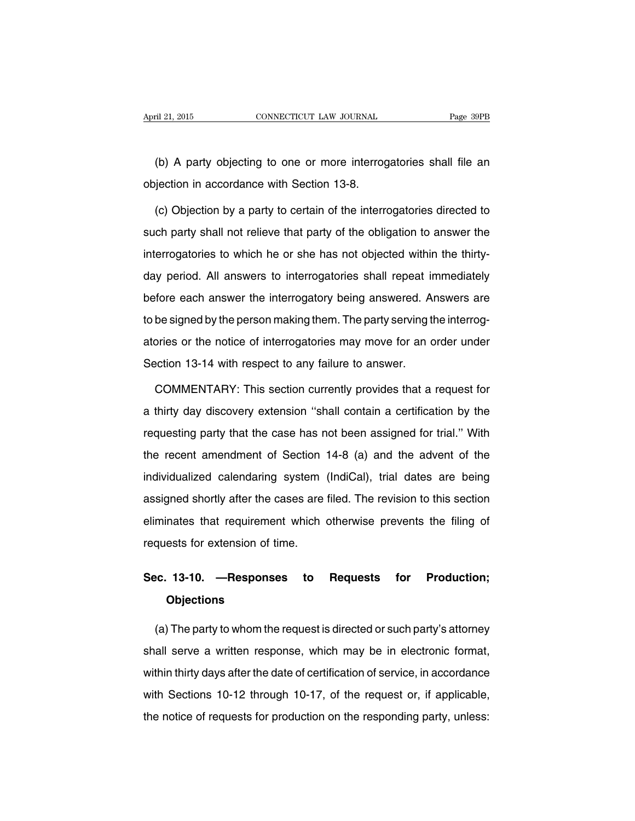(b) A party objecting to one or more interrogatories shall file an objection in accordance with Section 13-8.

(c) Objection by a party to certain of the interrogatories directed to such party shall not relieve that party of the obligation to answer the interrogatories to which he or she has not objected within the thirtyday period. All answers to interrogatories shall repeat immediately before each answer the interrogatory being answered. Answers are to be signed by the person making them. The party serving the interrogatories or the notice of interrogatories may move for an order under Section 13-14 with respect to any failure to answer.

COMMENTARY: This section currently provides that a request for a thirty day discovery extension ''shall contain a certification by the requesting party that the case has not been assigned for trial.'' With the recent amendment of Section 14-8 (a) and the advent of the individualized calendaring system (IndiCal), trial dates are being assigned shortly after the cases are filed. The revision to this section eliminates that requirement which otherwise prevents the filing of requests for extension of time.

### **Sec. 13-10. —Responses to Requests for Production; Objections**

(a) The party to whom the request is directed or such party's attorney shall serve a written response, which may be in electronic format, within thirty days after the date of certification of service, in accordance with Sections 10-12 through 10-17, of the request or, if applicable, the notice of requests for production on the responding party, unless: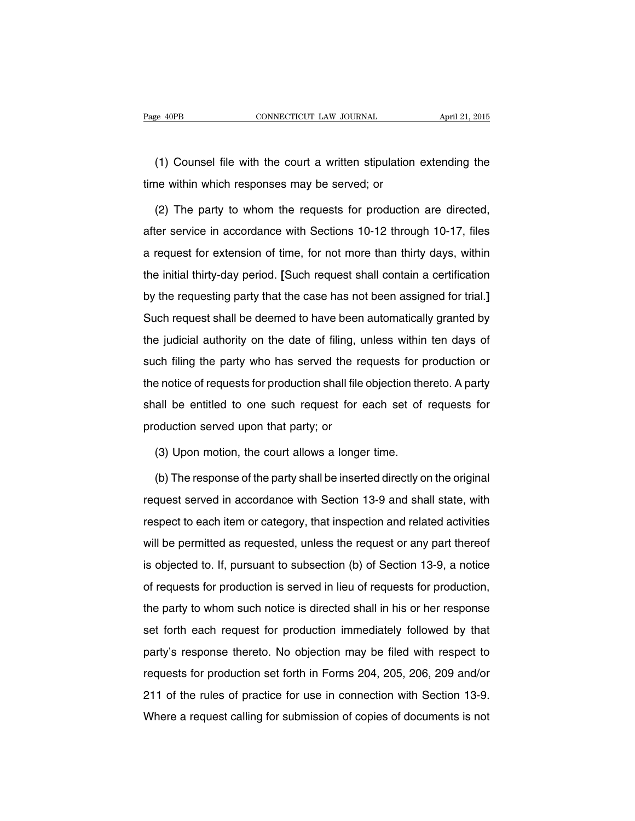(1) Counsel file with the court a written stipulation extending the time within which responses may be served; or

(2) The party to whom the requests for production are directed, after service in accordance with Sections 10-12 through 10-17, files a request for extension of time, for not more than thirty days, within the initial thirty-day period. **[**Such request shall contain a certification by the requesting party that the case has not been assigned for trial.**]** Such request shall be deemed to have been automatically granted by the judicial authority on the date of filing, unless within ten days of such filing the party who has served the requests for production or the notice of requests for production shall file objection thereto. A party shall be entitled to one such request for each set of requests for production served upon that party; or

(3) Upon motion, the court allows a longer time.

(b) The response of the party shall be inserted directly on the original request served in accordance with Section 13-9 and shall state, with respect to each item or category, that inspection and related activities will be permitted as requested, unless the request or any part thereof is objected to. If, pursuant to subsection (b) of Section 13-9, a notice of requests for production is served in lieu of requests for production, the party to whom such notice is directed shall in his or her response set forth each request for production immediately followed by that party's response thereto. No objection may be filed with respect to requests for production set forth in Forms 204, 205, 206, 209 and/or 211 of the rules of practice for use in connection with Section 13-9. Where a request calling for submission of copies of documents is not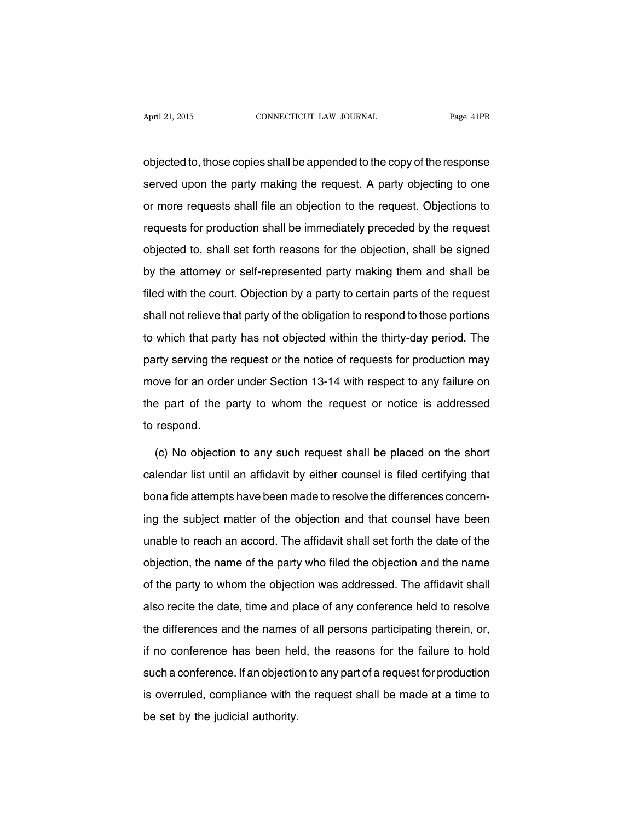objected to, those copies shall be appended to the copy of the response served upon the party making the request. A party objecting to one or more requests shall file an objection to the request. Objections to requests for production shall be immediately preceded by the request objected to, shall set forth reasons for the objection, shall be signed by the attorney or self-represented party making them and shall be filed with the court. Objection by a party to certain parts of the request shall not relieve that party of the obligation to respond to those portions to which that party has not objected within the thirty-day period. The party serving the request or the notice of requests for production may move for an order under Section 13-14 with respect to any failure on the part of the party to whom the request or notice is addressed to respond.

(c) No objection to any such request shall be placed on the short calendar list until an affidavit by either counsel is filed certifying that bona fide attempts have been made to resolve the differences concerning the subject matter of the objection and that counsel have been unable to reach an accord. The affidavit shall set forth the date of the objection, the name of the party who filed the objection and the name of the party to whom the objection was addressed. The affidavit shall also recite the date, time and place of any conference held to resolve the differences and the names of all persons participating therein, or, if no conference has been held, the reasons for the failure to hold such a conference. If an objection to any part of a request for production is overruled, compliance with the request shall be made at a time to be set by the judicial authority.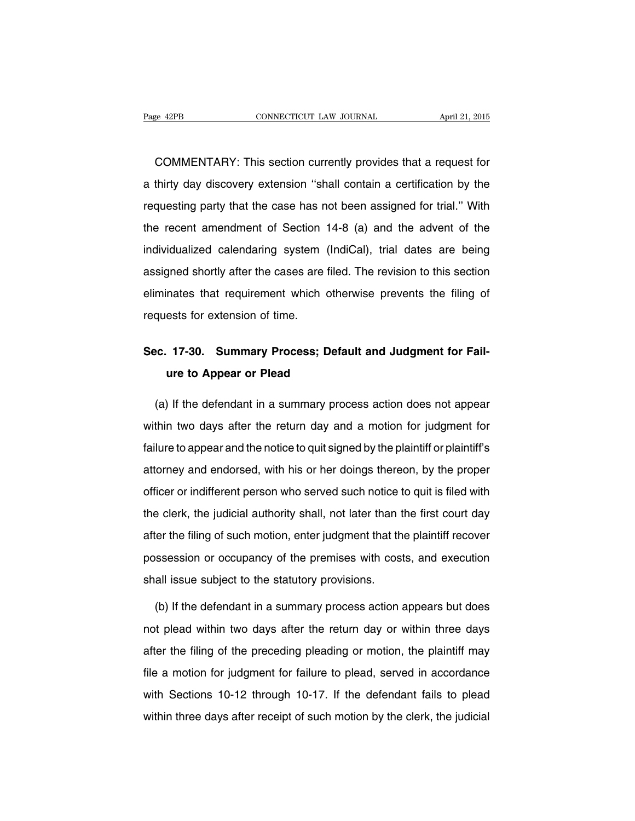COMMENTARY: This section currently provides that a request for a thirty day discovery extension ''shall contain a certification by the requesting party that the case has not been assigned for trial.'' With the recent amendment of Section 14-8 (a) and the advent of the individualized calendaring system (IndiCal), trial dates are being assigned shortly after the cases are filed. The revision to this section eliminates that requirement which otherwise prevents the filing of requests for extension of time.

### **Sec. 17-30. Summary Process; Default and Judgment for Failure to Appear or Plead**

(a) If the defendant in a summary process action does not appear within two days after the return day and a motion for judgment for failure to appear and the notice to quit signed by the plaintiff or plaintiff's attorney and endorsed, with his or her doings thereon, by the proper officer or indifferent person who served such notice to quit is filed with the clerk, the judicial authority shall, not later than the first court day after the filing of such motion, enter judgment that the plaintiff recover possession or occupancy of the premises with costs, and execution shall issue subject to the statutory provisions.

(b) If the defendant in a summary process action appears but does not plead within two days after the return day or within three days after the filing of the preceding pleading or motion, the plaintiff may file a motion for judgment for failure to plead, served in accordance with Sections 10-12 through 10-17. If the defendant fails to plead within three days after receipt of such motion by the clerk, the judicial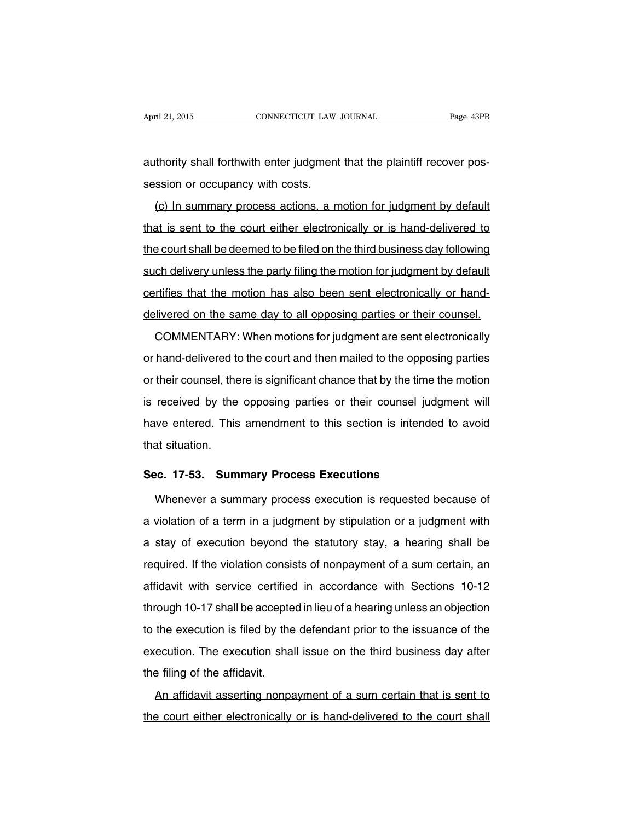authority shall forthwith enter judgment that the plaintiff recover possession or occupancy with costs.

(c) In summary process actions, a motion for judgment by default that is sent to the court either electronically or is hand-delivered to the court shall be deemed to be filed on the third business day following such delivery unless the party filing the motion for judgment by default certifies that the motion has also been sent electronically or handdelivered on the same day to all opposing parties or their counsel.

COMMENTARY: When motions for judgment are sent electronically or hand-delivered to the court and then mailed to the opposing parties or their counsel, there is significant chance that by the time the motion is received by the opposing parties or their counsel judgment will have entered. This amendment to this section is intended to avoid that situation.

#### **Sec. 17-53. Summary Process Executions**

Whenever a summary process execution is requested because of a violation of a term in a judgment by stipulation or a judgment with a stay of execution beyond the statutory stay, a hearing shall be required. If the violation consists of nonpayment of a sum certain, an affidavit with service certified in accordance with Sections 10-12 through 10-17 shall be accepted in lieu of a hearing unless an objection to the execution is filed by the defendant prior to the issuance of the execution. The execution shall issue on the third business day after the filing of the affidavit.

An affidavit asserting nonpayment of a sum certain that is sent to the court either electronically or is hand-delivered to the court shall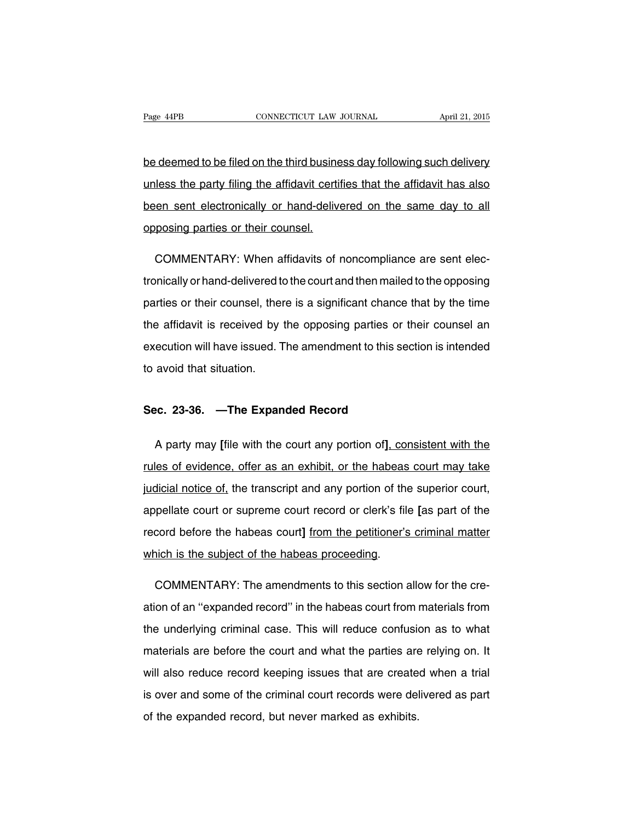be deemed to be filed on the third business day following such delivery unless the party filing the affidavit certifies that the affidavit has also been sent electronically or hand-delivered on the same day to all opposing parties or their counsel.

COMMENTARY: When affidavits of noncompliance are sent electronically or hand-delivered to the court and then mailed to the opposing parties or their counsel, there is a significant chance that by the time the affidavit is received by the opposing parties or their counsel an execution will have issued. The amendment to this section is intended to avoid that situation.

#### **Sec. 23-36. —The Expanded Record**

A party may **[**file with the court any portion of**]**, consistent with the rules of evidence, offer as an exhibit, or the habeas court may take judicial notice of, the transcript and any portion of the superior court, appellate court or supreme court record or clerk's file **[**as part of the record before the habeas court**]** from the petitioner's criminal matter which is the subject of the habeas proceeding.

COMMENTARY: The amendments to this section allow for the creation of an ''expanded record'' in the habeas court from materials from the underlying criminal case. This will reduce confusion as to what materials are before the court and what the parties are relying on. It will also reduce record keeping issues that are created when a trial is over and some of the criminal court records were delivered as part of the expanded record, but never marked as exhibits.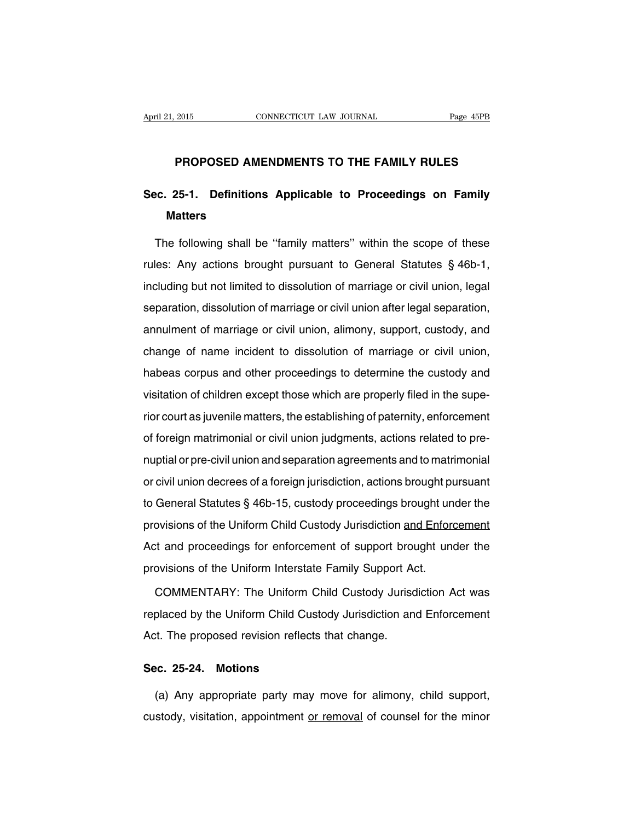#### **PROPOSED AMENDMENTS TO THE FAMILY RULES**

## **Sec. 25-1. Definitions Applicable to Proceedings on Family Matters**

The following shall be ''family matters'' within the scope of these rules: Any actions brought pursuant to General Statutes § 46b-1, including but not limited to dissolution of marriage or civil union, legal separation, dissolution of marriage or civil union after legal separation, annulment of marriage or civil union, alimony, support, custody, and change of name incident to dissolution of marriage or civil union, habeas corpus and other proceedings to determine the custody and visitation of children except those which are properly filed in the superior court as juvenile matters, the establishing of paternity, enforcement of foreign matrimonial or civil union judgments, actions related to prenuptial or pre-civil union and separation agreements and to matrimonial or civil union decrees of a foreign jurisdiction, actions brought pursuant to General Statutes § 46b-15, custody proceedings brought under the provisions of the Uniform Child Custody Jurisdiction and Enforcement Act and proceedings for enforcement of support brought under the provisions of the Uniform Interstate Family Support Act.

COMMENTARY: The Uniform Child Custody Jurisdiction Act was replaced by the Uniform Child Custody Jurisdiction and Enforcement Act. The proposed revision reflects that change.

#### **Sec. 25-24. Motions**

(a) Any appropriate party may move for alimony, child support, custody, visitation, appointment or removal of counsel for the minor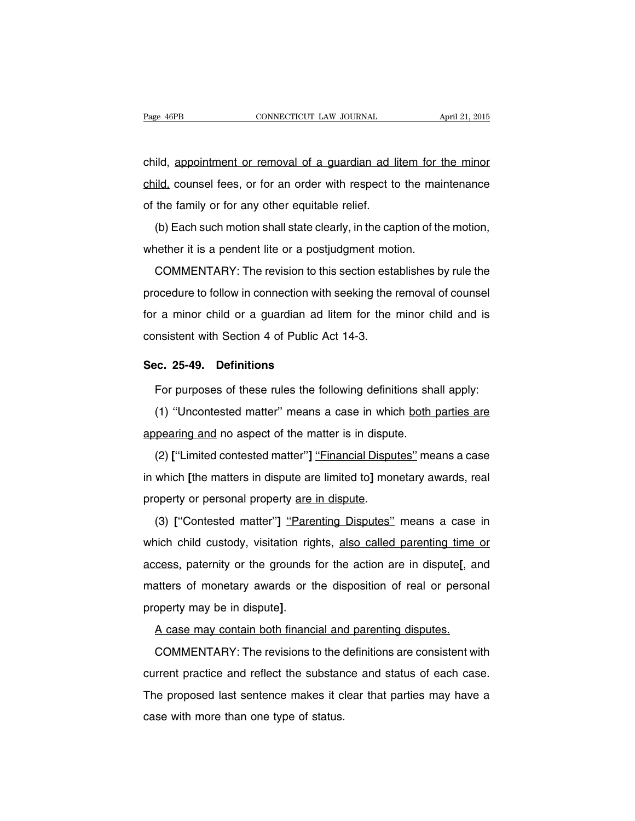child, appointment or removal of a guardian ad litem for the minor child, counsel fees, or for an order with respect to the maintenance of the family or for any other equitable relief.

(b) Each such motion shall state clearly, in the caption of the motion, whether it is a pendent lite or a postjudgment motion.

COMMENTARY: The revision to this section establishes by rule the procedure to follow in connection with seeking the removal of counsel for a minor child or a guardian ad litem for the minor child and is consistent with Section 4 of Public Act 14-3.

#### **Sec. 25-49. Definitions**

For purposes of these rules the following definitions shall apply:

(1) ''Uncontested matter'' means a case in which both parties are appearing and no aspect of the matter is in dispute.

(2) ["Limited contested matter"] "Financial Disputes" means a case in which **[**the matters in dispute are limited to**]** monetary awards, real property or personal property are in dispute.

(3) **[**''Contested matter''**]** ''Parenting Disputes'' means a case in which child custody, visitation rights, also called parenting time or access, paternity or the grounds for the action are in dispute**[**, and matters of monetary awards or the disposition of real or personal property may be in dispute**]**.

A case may contain both financial and parenting disputes.

COMMENTARY: The revisions to the definitions are consistent with current practice and reflect the substance and status of each case. The proposed last sentence makes it clear that parties may have a case with more than one type of status.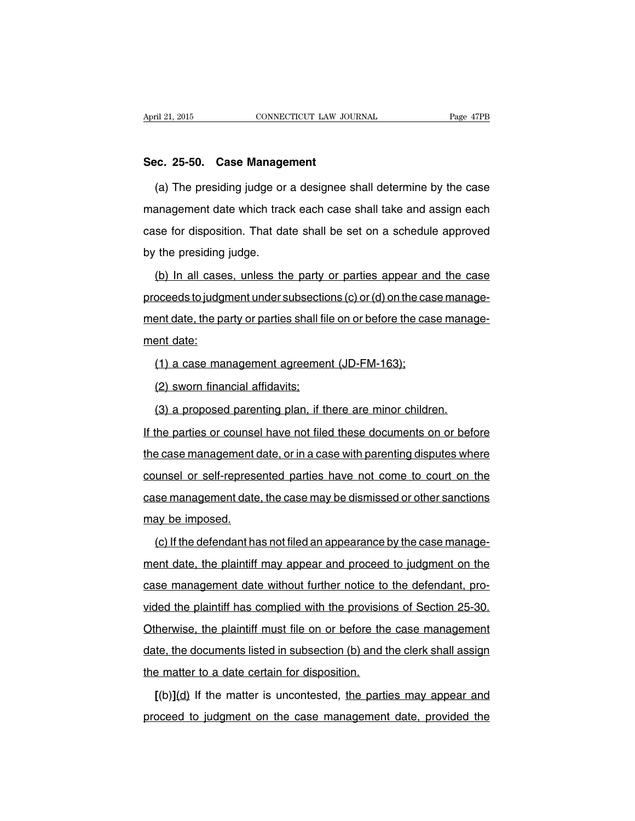#### **Sec. 25-50. Case Management**

(a) The presiding judge or a designee shall determine by the case management date which track each case shall take and assign each case for disposition. That date shall be set on a schedule approved by the presiding judge.

(b) In all cases, unless the party or parties appear and the case proceeds to judgment under subsections  $(c)$  or  $(d)$  on the case management date, the party or parties shall file on or before the case management date:

(1) a case management agreement (JD-FM-163);

(2) sworn financial affidavits;

(3) a proposed parenting plan, if there are minor children.

If the parties or counsel have not filed these documents on or before the case management date, or in a case with parenting disputes where counsel or self-represented parties have not come to court on the case management date, the case may be dismissed or other sanctions may be imposed.

(c) If the defendant has not filed an appearance by the case management date, the plaintiff may appear and proceed to judgment on the case management date without further notice to the defendant, provided the plaintiff has complied with the provisions of Section 25-30. Otherwise, the plaintiff must file on or before the case management date, the documents listed in subsection (b) and the clerk shall assign the matter to a date certain for disposition.

**[**(b)**]**(d) If the matter is uncontested, the parties may appear and proceed to judgment on the case management date, provided the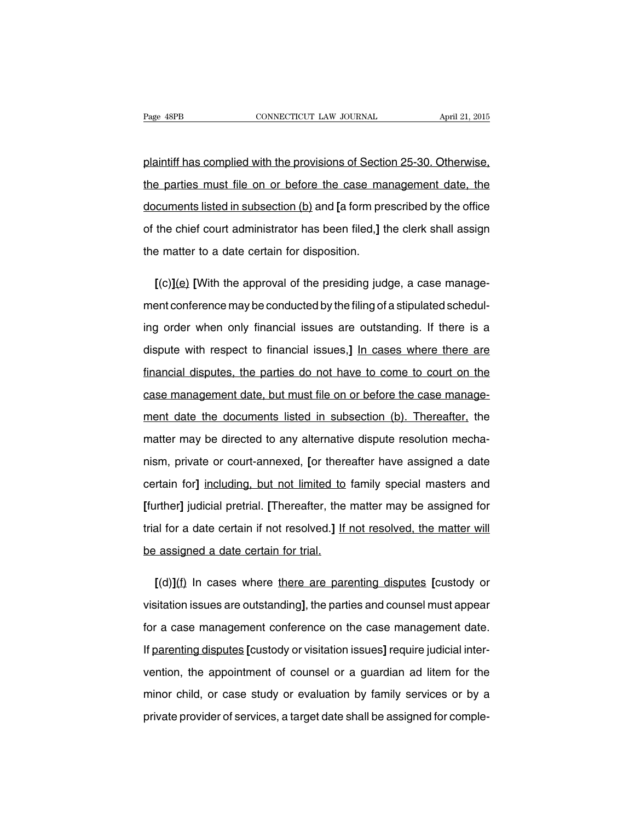plaintiff has complied with the provisions of Section 25-30. Otherwise, the parties must file on or before the case management date, the documents listed in subsection (b) and **[**a form prescribed by the office of the chief court administrator has been filed,**]** the clerk shall assign the matter to a date certain for disposition.

**[**(c)**]**(e) **[**With the approval of the presiding judge, a case management conference may be conducted by the filing of a stipulated scheduling order when only financial issues are outstanding. If there is a dispute with respect to financial issues,**]** In cases where there are financial disputes, the parties do not have to come to court on the case management date, but must file on or before the case management date the documents listed in subsection (b). Thereafter, the matter may be directed to any alternative dispute resolution mechanism, private or court-annexed, **[**or thereafter have assigned a date certain for**]** including, but not limited to family special masters and **[**further**]** judicial pretrial. **[**Thereafter, the matter may be assigned for trial for a date certain if not resolved.**]** If not resolved, the matter will be assigned a date certain for trial.

**[**(d)**]**(f) In cases where there are parenting disputes **[**custody or visitation issues are outstanding**]**, the parties and counsel must appear for a case management conference on the case management date. If parenting disputes **[**custody or visitation issues**]** require judicial intervention, the appointment of counsel or a guardian ad litem for the minor child, or case study or evaluation by family services or by a private provider of services, a target date shall be assigned for comple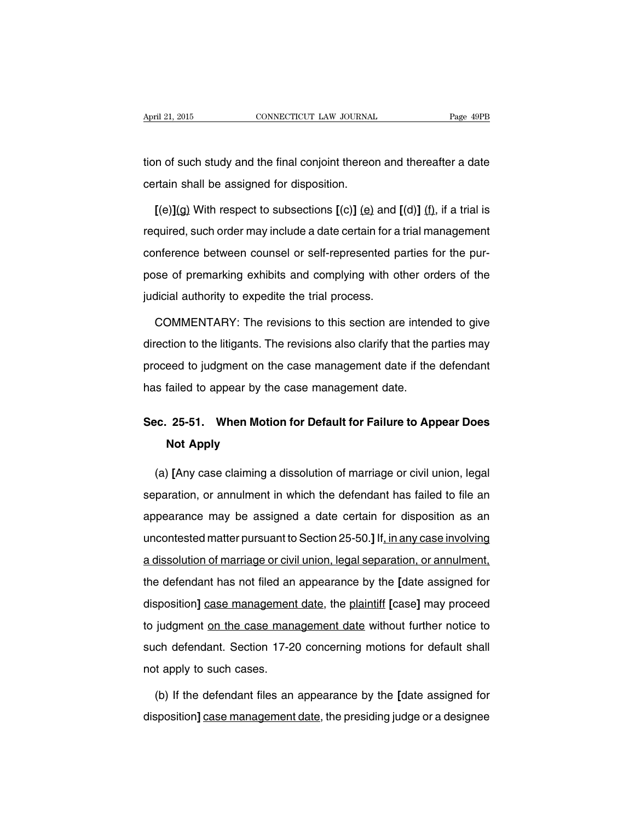tion of such study and the final conjoint thereon and thereafter a date certain shall be assigned for disposition.

 $[(e)](g)$  With respect to subsections  $[(c)]$   $(e)$  and  $[(d)]$   $(f)$ , if a trial is required, such order may include a date certain for a trial management conference between counsel or self-represented parties for the purpose of premarking exhibits and complying with other orders of the judicial authority to expedite the trial process.

COMMENTARY: The revisions to this section are intended to give direction to the litigants. The revisions also clarify that the parties may proceed to judgment on the case management date if the defendant has failed to appear by the case management date.

## **Sec. 25-51. When Motion for Default for Failure to Appear Does Not Apply**

(a) **[**Any case claiming a dissolution of marriage or civil union, legal separation, or annulment in which the defendant has failed to file an appearance may be assigned a date certain for disposition as an uncontested matter pursuant to Section 25-50.**]** If, in any case involving a dissolution of marriage or civil union, legal separation, or annulment, the defendant has not filed an appearance by the **[**date assigned for disposition**]** case management date, the plaintiff **[**case**]** may proceed to judgment on the case management date without further notice to such defendant. Section 17-20 concerning motions for default shall not apply to such cases.

(b) If the defendant files an appearance by the **[**date assigned for disposition**]** case management date, the presiding judge or a designee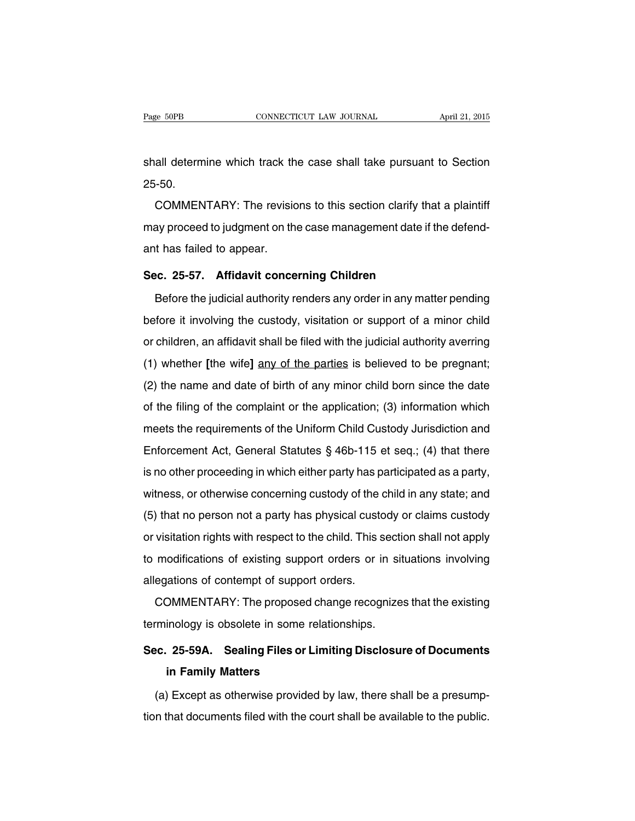shall determine which track the case shall take pursuant to Section 25-50.

COMMENTARY: The revisions to this section clarify that a plaintiff may proceed to judgment on the case management date if the defendant has failed to appear.

#### **Sec. 25-57. Affidavit concerning Children**

Before the judicial authority renders any order in any matter pending before it involving the custody, visitation or support of a minor child or children, an affidavit shall be filed with the judicial authority averring (1) whether **[**the wife**]** any of the parties is believed to be pregnant; (2) the name and date of birth of any minor child born since the date of the filing of the complaint or the application; (3) information which meets the requirements of the Uniform Child Custody Jurisdiction and Enforcement Act, General Statutes § 46b-115 et seq.; (4) that there is no other proceeding in which either party has participated as a party, witness, or otherwise concerning custody of the child in any state; and (5) that no person not a party has physical custody or claims custody or visitation rights with respect to the child. This section shall not apply to modifications of existing support orders or in situations involving allegations of contempt of support orders.

COMMENTARY: The proposed change recognizes that the existing terminology is obsolete in some relationships.

### **Sec. 25-59A. Sealing Files or Limiting Disclosure of Documents in Family Matters**

(a) Except as otherwise provided by law, there shall be a presumption that documents filed with the court shall be available to the public.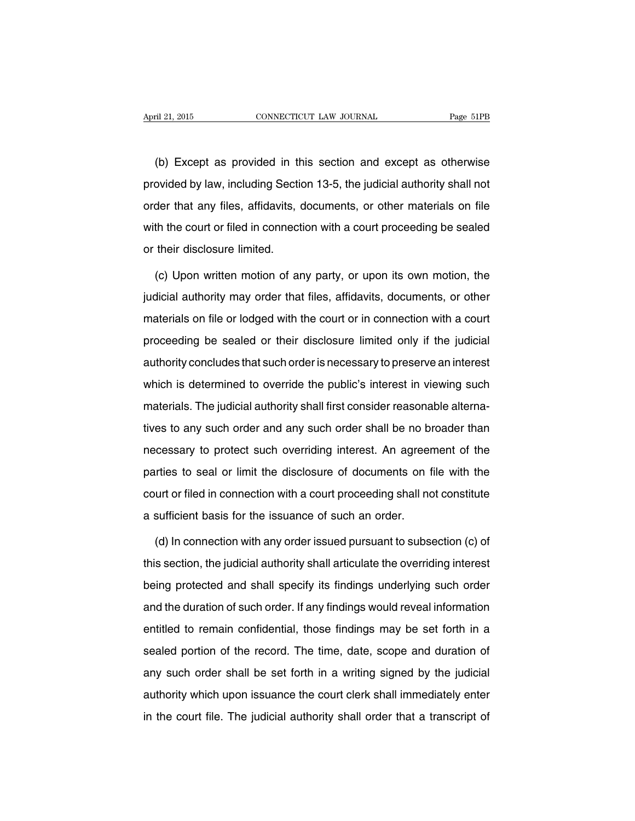(b) Except as provided in this section and except as otherwise provided by law, including Section 13-5, the judicial authority shall not order that any files, affidavits, documents, or other materials on file with the court or filed in connection with a court proceeding be sealed or their disclosure limited.

(c) Upon written motion of any party, or upon its own motion, the judicial authority may order that files, affidavits, documents, or other materials on file or lodged with the court or in connection with a court proceeding be sealed or their disclosure limited only if the judicial authority concludes that such order is necessary to preserve an interest which is determined to override the public's interest in viewing such materials. The judicial authority shall first consider reasonable alternatives to any such order and any such order shall be no broader than necessary to protect such overriding interest. An agreement of the parties to seal or limit the disclosure of documents on file with the court or filed in connection with a court proceeding shall not constitute a sufficient basis for the issuance of such an order.

(d) In connection with any order issued pursuant to subsection (c) of this section, the judicial authority shall articulate the overriding interest being protected and shall specify its findings underlying such order and the duration of such order. If any findings would reveal information entitled to remain confidential, those findings may be set forth in a sealed portion of the record. The time, date, scope and duration of any such order shall be set forth in a writing signed by the judicial authority which upon issuance the court clerk shall immediately enter in the court file. The judicial authority shall order that a transcript of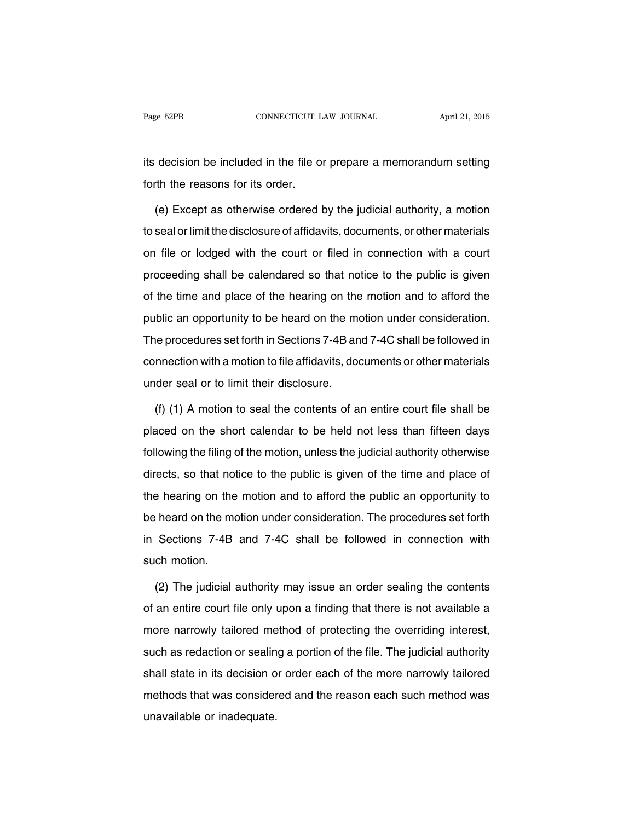its decision be included in the file or prepare a memorandum setting forth the reasons for its order.

(e) Except as otherwise ordered by the judicial authority, a motion to seal or limit the disclosure of affidavits, documents, or other materials on file or lodged with the court or filed in connection with a court proceeding shall be calendared so that notice to the public is given of the time and place of the hearing on the motion and to afford the public an opportunity to be heard on the motion under consideration. The procedures set forth in Sections 7-4B and 7-4C shall be followed in connection with a motion to file affidavits, documents or other materials under seal or to limit their disclosure.

(f) (1) A motion to seal the contents of an entire court file shall be placed on the short calendar to be held not less than fifteen days following the filing of the motion, unless the judicial authority otherwise directs, so that notice to the public is given of the time and place of the hearing on the motion and to afford the public an opportunity to be heard on the motion under consideration. The procedures set forth in Sections 7-4B and 7-4C shall be followed in connection with such motion.

(2) The judicial authority may issue an order sealing the contents of an entire court file only upon a finding that there is not available a more narrowly tailored method of protecting the overriding interest, such as redaction or sealing a portion of the file. The judicial authority shall state in its decision or order each of the more narrowly tailored methods that was considered and the reason each such method was unavailable or inadequate.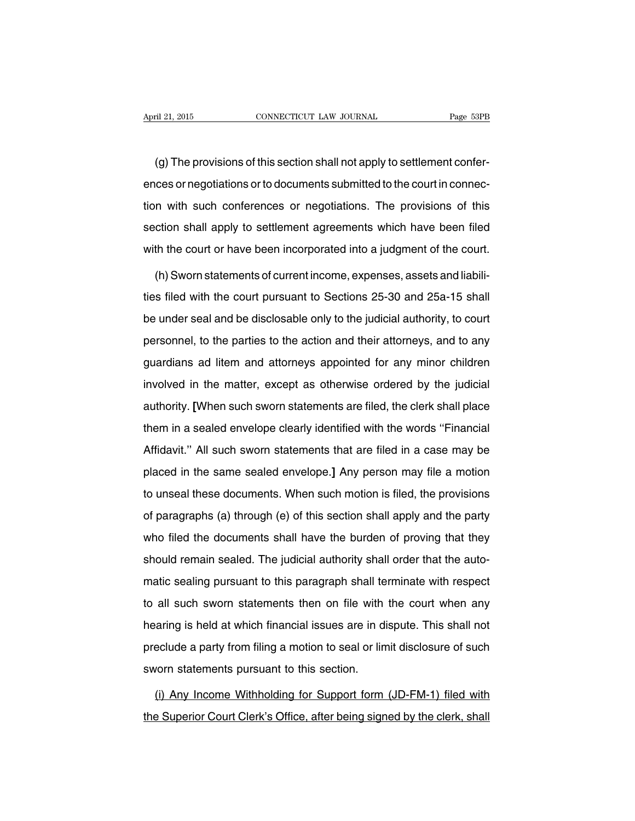(g) The provisions of this section shall not apply to settlement conferences or negotiations or to documents submitted to the court in connection with such conferences or negotiations. The provisions of this section shall apply to settlement agreements which have been filed with the court or have been incorporated into a judgment of the court.

(h)Sworn statements of current income, expenses, assets and liabilities filed with the court pursuant to Sections 25-30 and 25a-15 shall be under seal and be disclosable only to the judicial authority, to court personnel, to the parties to the action and their attorneys, and to any guardians ad litem and attorneys appointed for any minor children involved in the matter, except as otherwise ordered by the judicial authority. **[**When such sworn statements are filed, the clerk shall place them in a sealed envelope clearly identified with the words ''Financial Affidavit.'' All such sworn statements that are filed in a case may be placed in the same sealed envelope.**]** Any person may file a motion to unseal these documents. When such motion is filed, the provisions of paragraphs (a) through (e) of this section shall apply and the party who filed the documents shall have the burden of proving that they should remain sealed. The judicial authority shall order that the automatic sealing pursuant to this paragraph shall terminate with respect to all such sworn statements then on file with the court when any hearing is held at which financial issues are in dispute. This shall not preclude a party from filing a motion to seal or limit disclosure of such sworn statements pursuant to this section.

(i) Any Income Withholding for Support form (JD-FM-1) filed with the Superior Court Clerk's Office, after being signed by the clerk, shall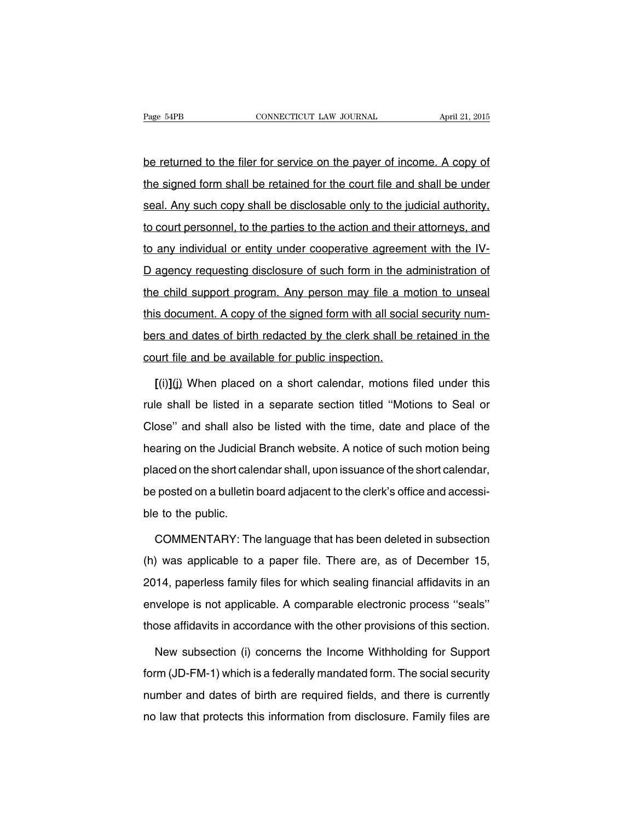be returned to the filer for service on the payer of income. A copy of the signed form shall be retained for the court file and shall be under seal. Any such copy shall be disclosable only to the judicial authority, to court personnel, to the parties to the action and their attorneys, and to any individual or entity under cooperative agreement with the IV-D agency requesting disclosure of such form in the administration of the child support program. Any person may file a motion to unseal this document. A copy of the signed form with all social security numbers and dates of birth redacted by the clerk shall be retained in the court file and be available for public inspection.

**[**(i)**]**(j) When placed on a short calendar, motions filed under this rule shall be listed in a separate section titled ''Motions to Seal or Close'' and shall also be listed with the time, date and place of the hearing on the Judicial Branch website. A notice of such motion being placed on the short calendar shall, upon issuance of the short calendar, be posted on a bulletin board adjacent to the clerk's office and accessible to the public.

COMMENTARY: The language that has been deleted in subsection (h) was applicable to a paper file. There are, as of December 15, 2014, paperless family files for which sealing financial affidavits in an envelope is not applicable. A comparable electronic process ''seals'' those affidavits in accordance with the other provisions of this section.

New subsection (i) concerns the Income Withholding for Support form (JD-FM-1) which is a federally mandated form. The social security number and dates of birth are required fields, and there is currently no law that protects this information from disclosure. Family files are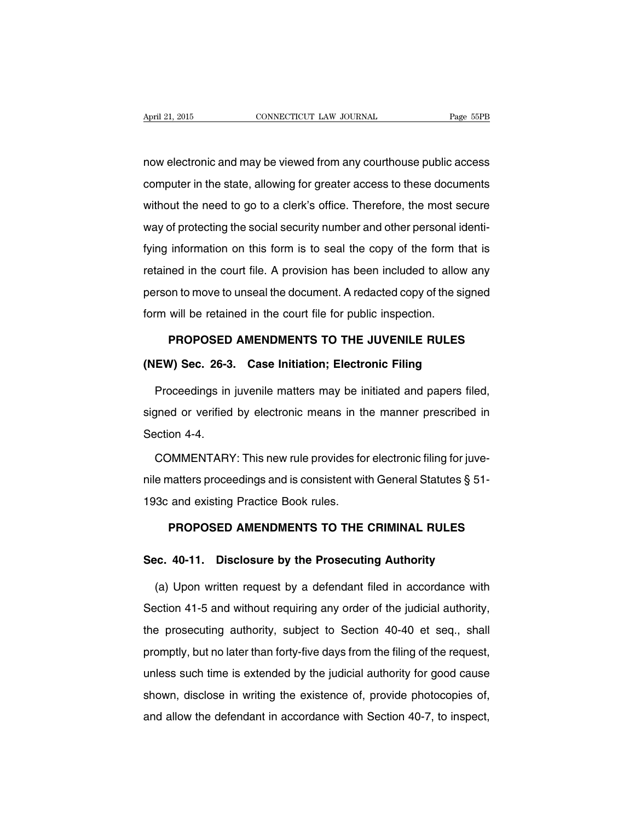now electronic and may be viewed from any courthouse public access computer in the state, allowing for greater access to these documents without the need to go to a clerk's office. Therefore, the most secure way of protecting the social security number and other personal identifying information on this form is to seal the copy of the form that is retained in the court file. A provision has been included to allow any person to move to unseal the document. A redacted copy of the signed form will be retained in the court file for public inspection.

# **PROPOSED AMENDMENTS TO THE JUVENILE RULES (NEW) Sec. 26-3. Case Initiation; Electronic Filing**

Proceedings in juvenile matters may be initiated and papers filed, signed or verified by electronic means in the manner prescribed in Section 4-4.

COMMENTARY: This new rule provides for electronic filing for juvenile matters proceedings and is consistent with General Statutes § 51- 193c and existing Practice Book rules.

#### **PROPOSED AMENDMENTS TO THE CRIMINAL RULES**

#### **Sec. 40-11. Disclosure by the Prosecuting Authority**

(a) Upon written request by a defendant filed in accordance with Section 41-5 and without requiring any order of the judicial authority, the prosecuting authority, subject to Section 40-40 et seq., shall promptly, but no later than forty-five days from the filing of the request, unless such time is extended by the judicial authority for good cause shown, disclose in writing the existence of, provide photocopies of, and allow the defendant in accordance with Section 40-7, to inspect,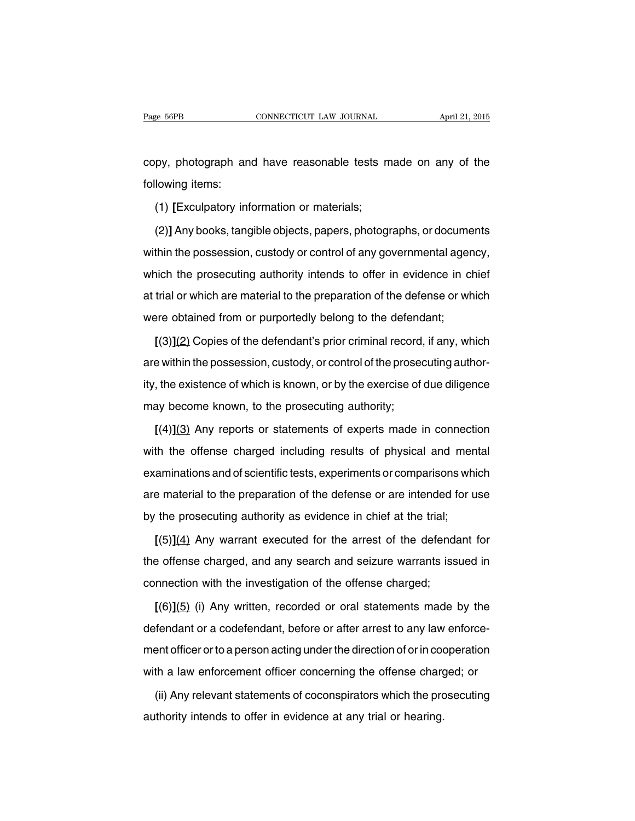copy, photograph and have reasonable tests made on any of the following items:

(1) **[**Exculpatory information or materials;

(2)**]** Any books, tangible objects, papers, photographs, or documents within the possession, custody or control of any governmental agency, which the prosecuting authority intends to offer in evidence in chief at trial or which are material to the preparation of the defense or which were obtained from or purportedly belong to the defendant;

**[**(3)**]**(2) Copies of the defendant's prior criminal record, if any, which are within the possession, custody, or control of the prosecuting authority, the existence of which is known, or by the exercise of due diligence may become known, to the prosecuting authority;

**[**(4)**]**(3) Any reports or statements of experts made in connection with the offense charged including results of physical and mental examinations and of scientific tests, experiments or comparisons which are material to the preparation of the defense or are intended for use by the prosecuting authority as evidence in chief at the trial;

**[**(5)**]**(4) Any warrant executed for the arrest of the defendant for the offense charged, and any search and seizure warrants issued in connection with the investigation of the offense charged;

**[**(6)**]**(5) (i) Any written, recorded or oral statements made by the defendant or a codefendant, before or after arrest to any law enforcement officer orto a person acting under the direction of orin cooperation with a law enforcement officer concerning the offense charged; or

(ii) Any relevant statements of coconspirators which the prosecuting authority intends to offer in evidence at any trial or hearing.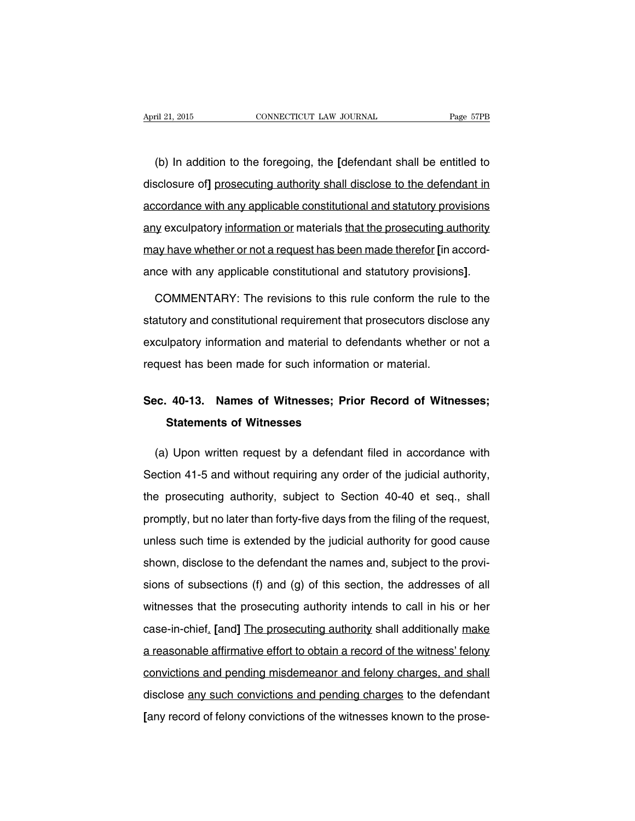(b) In addition to the foregoing, the **[**defendant shall be entitled to disclosure of**]** prosecuting authority shall disclose to the defendant in accordance with any applicable constitutional and statutory provisions any exculpatory information or materials that the prosecuting authority may have whether or not a request has been made therefor **[**in accordance with any applicable constitutional and statutory provisions**]**.

COMMENTARY: The revisions to this rule conform the rule to the statutory and constitutional requirement that prosecutors disclose any exculpatory information and material to defendants whether or not a request has been made for such information or material.

### **Sec. 40-13. Names of Witnesses; Prior Record of Witnesses; Statements of Witnesses**

(a) Upon written request by a defendant filed in accordance with Section 41-5 and without requiring any order of the judicial authority, the prosecuting authority, subject to Section 40-40 et seq., shall promptly, but no later than forty-five days from the filing of the request, unless such time is extended by the judicial authority for good cause shown, disclose to the defendant the names and, subject to the provisions of subsections (f) and (g) of this section, the addresses of all witnesses that the prosecuting authority intends to call in his or her case-in-chief. **[**and**]** The prosecuting authority shall additionally make a reasonable affirmative effort to obtain a record of the witness' felony convictions and pending misdemeanor and felony charges, and shall disclose any such convictions and pending charges to the defendant **[**any record of felony convictions of the witnesses known to the prose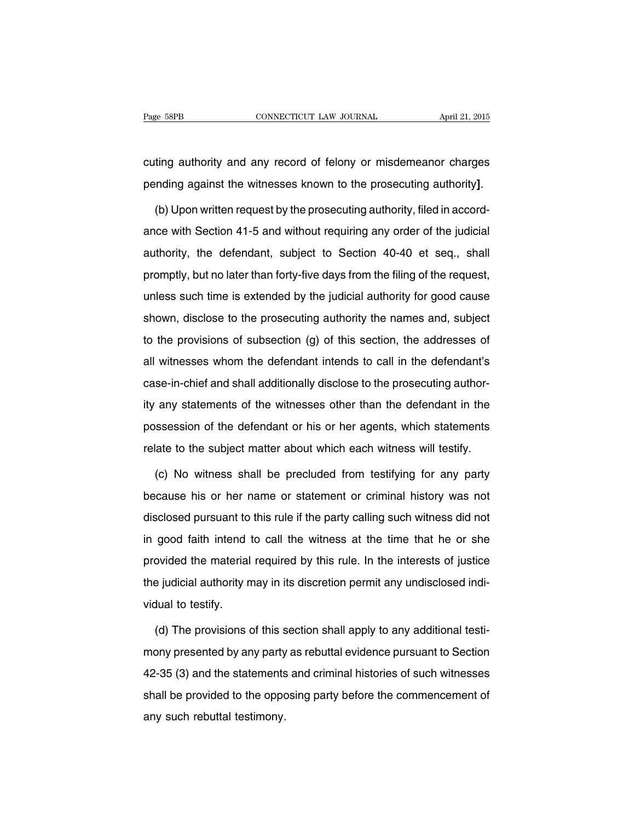cuting authority and any record of felony or misdemeanor charges pending against the witnesses known to the prosecuting authority**]**.

(b) Upon written request by the prosecuting authority, filed in accordance with Section 41-5 and without requiring any order of the judicial authority, the defendant, subject to Section 40-40 et seq., shall promptly, but no later than forty-five days from the filing of the request, unless such time is extended by the judicial authority for good cause shown, disclose to the prosecuting authority the names and, subject to the provisions of subsection (g) of this section, the addresses of all witnesses whom the defendant intends to call in the defendant's case-in-chief and shall additionally disclose to the prosecuting authority any statements of the witnesses other than the defendant in the possession of the defendant or his or her agents, which statements relate to the subject matter about which each witness will testify.

(c) No witness shall be precluded from testifying for any party because his or her name or statement or criminal history was not disclosed pursuant to this rule if the party calling such witness did not in good faith intend to call the witness at the time that he or she provided the material required by this rule. In the interests of justice the judicial authority may in its discretion permit any undisclosed individual to testify.

(d) The provisions of this section shall apply to any additional testimony presented by any party as rebuttal evidence pursuant to Section 42-35 (3) and the statements and criminal histories of such witnesses shall be provided to the opposing party before the commencement of any such rebuttal testimony.